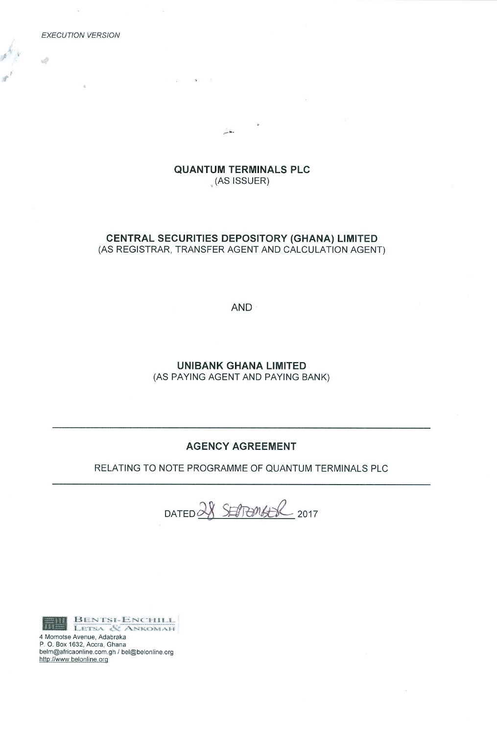**EXECUTION VERSION** 

 $\mathcal{Q}$ 

# **QUANTUM TERMINALS PLC**  $(AS$  ISSUER)

in the

 $\mathcal{Q}$ 

# CENTRAL SECURITIES DEPOSITORY (GHANA) LIMITED (AS REGISTRAR, TRANSFER AGENT AND CALCULATION AGENT)

AND ·

**UNIBANK GHANA LIMITED** (AS PAYING AGENT AND PAYING BANK)

# **AGENCY AGREEMENT**

RELATING TO NOTE PROGRAMME OF QUANTUM TERMINALS PLC

DATED 28 SEPTEMBER 2017



BENTSI-ENCHILL<br>LETSA & ANKOMAH

4 Momotse Avenue, Adabraka P. O. Box 1632, Accra, Ghana belm@africaonline.com.gh / bel@belonline.org http://www.belonline.org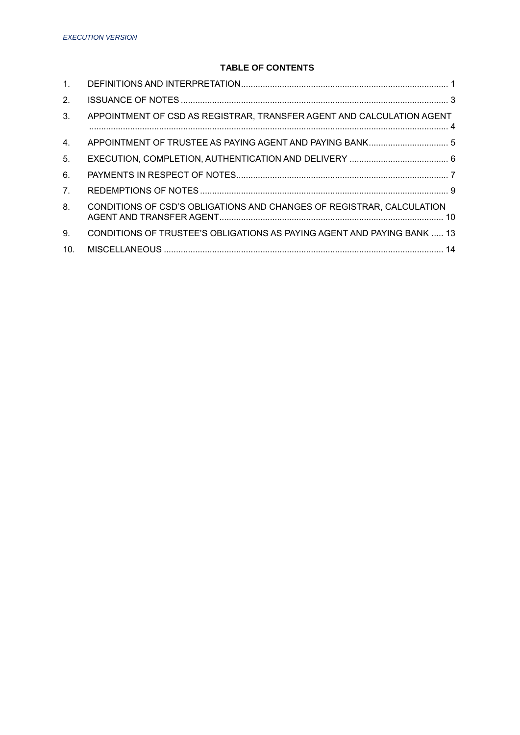# **TABLE OF CONTENTS**

| $\mathbf{1}$ .  |                                                                         |
|-----------------|-------------------------------------------------------------------------|
| 2 <sub>1</sub>  |                                                                         |
| 3.              | APPOINTMENT OF CSD AS REGISTRAR, TRANSFER AGENT AND CALCULATION AGENT   |
| 4.              | APPOINTMENT OF TRUSTEE AS PAYING AGENT AND PAYING BANK 5                |
| 5.              |                                                                         |
| 6.              |                                                                         |
| 7 <sub>1</sub>  |                                                                         |
| 8.              | CONDITIONS OF CSD'S OBLIGATIONS AND CHANGES OF REGISTRAR, CALCULATION   |
| 9.              | CONDITIONS OF TRUSTEE'S OBLIGATIONS AS PAYING AGENT AND PAYING BANK  13 |
| 10 <sub>1</sub> |                                                                         |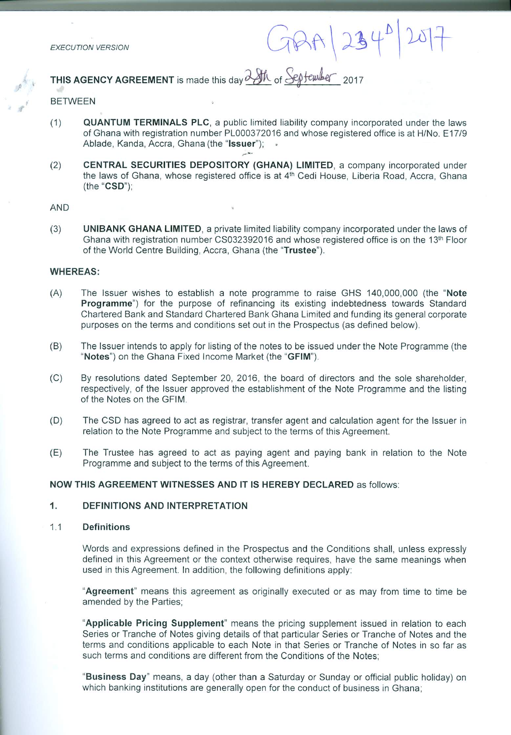**EXECUTION VERSION** 

 $GBA|234^0$ 

THIS AGENCY AGREEMENT is made this day  $\frac{\partial \mathcal{M}}{\partial n}$  of September 2017

### **BETWEEN**

- $(1)$ **QUANTUM TERMINALS PLC, a public limited liability company incorporated under the laws** of Ghana with registration number PL000372016 and whose registered office is at H/No. E17/9 Ablade, Kanda, Accra, Ghana (the "Issuer");
- CENTRAL SECURITIES DEPOSITORY (GHANA) LIMITED, a company incorporated under  $(2)$ the laws of Ghana, whose registered office is at 4<sup>th</sup> Cedi House, Liberia Road, Accra, Ghana  $(the "CSD")$ :

#### AND

 $(3)$ UNIBANK GHANA LIMITED, a private limited liability company incorporated under the laws of Ghana with registration number CS032392016 and whose registered office is on the 13<sup>th</sup> Floor of the World Centre Building, Accra, Ghana (the "Trustee").

## **WHEREAS:**

- $(A)$ The Issuer wishes to establish a note programme to raise GHS 140,000,000 (the "Note Programme") for the purpose of refinancing its existing indebtedness towards Standard Chartered Bank and Standard Chartered Bank Ghana Limited and funding its general corporate purposes on the terms and conditions set out in the Prospectus (as defined below).
- $(B)$ The Issuer intends to apply for listing of the notes to be issued under the Note Programme (the "Notes") on the Ghana Fixed Income Market (the "GFIM").
- $(C)$ By resolutions dated September 20, 2016, the board of directors and the sole shareholder. respectively, of the Issuer approved the establishment of the Note Programme and the listing of the Notes on the GFIM.
- $(D)$ The CSD has agreed to act as registrar, transfer agent and calculation agent for the Issuer in relation to the Note Programme and subject to the terms of this Agreement.
- $(E)$ The Trustee has agreed to act as paying agent and paying bank in relation to the Note Programme and subject to the terms of this Agreement.

# NOW THIS AGREEMENT WITNESSES AND IT IS HEREBY DECLARED as follows:

#### $1.$ **DEFINITIONS AND INTERPRETATION**

#### **Definitions**  $1.1$

Words and expressions defined in the Prospectus and the Conditions shall, unless expressly defined in this Agreement or the context otherwise requires, have the same meanings when used in this Agreement. In addition, the following definitions apply:

"Agreement" means this agreement as originally executed or as may from time to time be amended by the Parties;

"Applicable Pricing Supplement" means the pricing supplement issued in relation to each Series or Tranche of Notes giving details of that particular Series or Tranche of Notes and the terms and conditions applicable to each Note in that Series or Tranche of Notes in so far as such terms and conditions are different from the Conditions of the Notes;

"Business Day" means, a day (other than a Saturday or Sunday or official public holiday) on which banking institutions are generally open for the conduct of business in Ghana;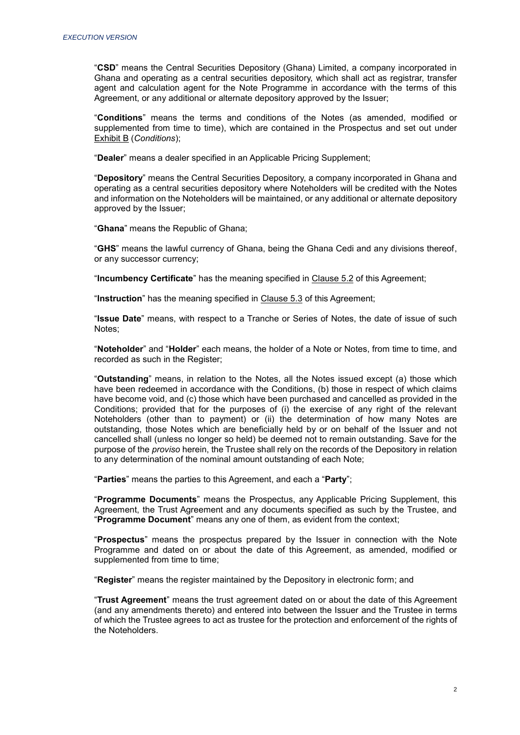"**CSD**" means the Central Securities Depository (Ghana) Limited, a company incorporated in Ghana and operating as a central securities depository, which shall act as registrar, transfer agent and calculation agent for the Note Programme in accordance with the terms of this Agreement, or any additional or alternate depository approved by the Issuer;

"**Conditions**" means the terms and conditions of the Notes (as amended, modified or supplemented from time to time), which are contained in the Prospectus and set out under Exhibit B (*Conditions*);

"**Dealer**" means a dealer specified in an Applicable Pricing Supplement;

"**Depository**" means the Central Securities Depository, a company incorporated in Ghana and operating as a central securities depository where Noteholders will be credited with the Notes and information on the Noteholders will be maintained, or any additional or alternate depository approved by the Issuer;

"**Ghana**" means the Republic of Ghana;

"**GHS**" means the lawful currency of Ghana, being the Ghana Cedi and any divisions thereof, or any successor currency;

"**Incumbency Certificate**" has the meaning specified in Clause 5.2 of this Agreement;

"**Instruction**" has the meaning specified in Clause 5.3 of this Agreement;

"**Issue Date**" means, with respect to a Tranche or Series of Notes, the date of issue of such Notes;

"**Noteholder**" and "**Holder**" each means, the holder of a Note or Notes, from time to time, and recorded as such in the Register;

"**Outstanding**" means, in relation to the Notes, all the Notes issued except (a) those which have been redeemed in accordance with the Conditions, (b) those in respect of which claims have become void, and (c) those which have been purchased and cancelled as provided in the Conditions; provided that for the purposes of (i) the exercise of any right of the relevant Noteholders (other than to payment) or (ii) the determination of how many Notes are outstanding, those Notes which are beneficially held by or on behalf of the Issuer and not cancelled shall (unless no longer so held) be deemed not to remain outstanding. Save for the purpose of the *proviso* herein, the Trustee shall rely on the records of the Depository in relation to any determination of the nominal amount outstanding of each Note;

"**Parties**" means the parties to this Agreement, and each a "**Party**";

"**Programme Documents**" means the Prospectus, any Applicable Pricing Supplement, this Agreement, the Trust Agreement and any documents specified as such by the Trustee, and "**Programme Document**" means any one of them, as evident from the context;

"**Prospectus**" means the prospectus prepared by the Issuer in connection with the Note Programme and dated on or about the date of this Agreement, as amended, modified or supplemented from time to time;

"**Register**" means the register maintained by the Depository in electronic form; and

"**Trust Agreement**" means the trust agreement dated on or about the date of this Agreement (and any amendments thereto) and entered into between the Issuer and the Trustee in terms of which the Trustee agrees to act as trustee for the protection and enforcement of the rights of the Noteholders.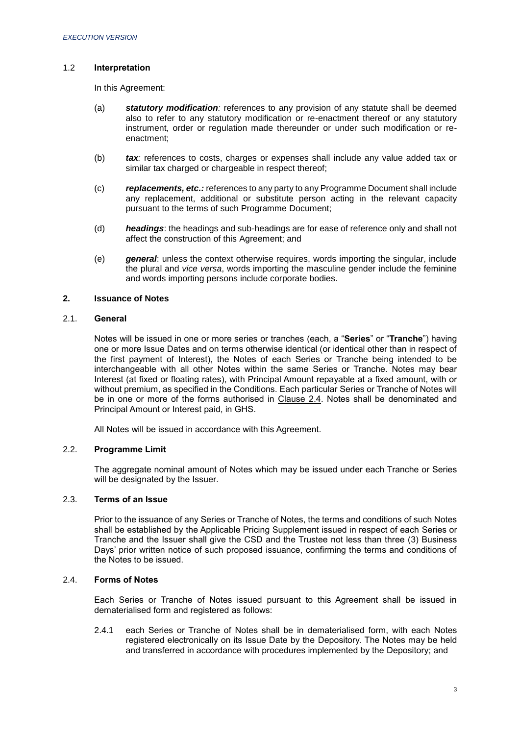# 1.2 **Interpretation**

In this Agreement:

- (a) *statutory modification:* references to any provision of any statute shall be deemed also to refer to any statutory modification or re-enactment thereof or any statutory instrument, order or regulation made thereunder or under such modification or reenactment;
- (b) *tax:* references to costs, charges or expenses shall include any value added tax or similar tax charged or chargeable in respect thereof;
- (c) *replacements, etc.:* references to any party to any Programme Document shall include any replacement, additional or substitute person acting in the relevant capacity pursuant to the terms of such Programme Document;
- (d) *headings*: the headings and sub-headings are for ease of reference only and shall not affect the construction of this Agreement; and
- (e) *general*: unless the context otherwise requires, words importing the singular, include the plural and *vice versa*, words importing the masculine gender include the feminine and words importing persons include corporate bodies.

## <span id="page-4-0"></span>**2. Issuance of Notes**

# 2.1. **General**

Notes will be issued in one or more series or tranches (each, a "**Series**" or "**Tranche**") having one or more Issue Dates and on terms otherwise identical (or identical other than in respect of the first payment of Interest), the Notes of each Series or Tranche being intended to be interchangeable with all other Notes within the same Series or Tranche. Notes may bear Interest (at fixed or floating rates), with Principal Amount repayable at a fixed amount, with or without premium, as specified in the Conditions. Each particular Series or Tranche of Notes will be in one or more of the forms authorised in Clause 2.4. Notes shall be denominated and Principal Amount or Interest paid, in GHS.

All Notes will be issued in accordance with this Agreement.

## 2.2. **Programme Limit**

The aggregate nominal amount of Notes which may be issued under each Tranche or Series will be designated by the Issuer.

## 2.3. **Terms of an Issue**

Prior to the issuance of any Series or Tranche of Notes, the terms and conditions of such Notes shall be established by the Applicable Pricing Supplement issued in respect of each Series or Tranche and the Issuer shall give the CSD and the Trustee not less than three (3) Business Days' prior written notice of such proposed issuance, confirming the terms and conditions of the Notes to be issued.

# 2.4. **Forms of Notes**

Each Series or Tranche of Notes issued pursuant to this Agreement shall be issued in dematerialised form and registered as follows:

2.4.1 each Series or Tranche of Notes shall be in dematerialised form, with each Notes registered electronically on its Issue Date by the Depository. The Notes may be held and transferred in accordance with procedures implemented by the Depository; and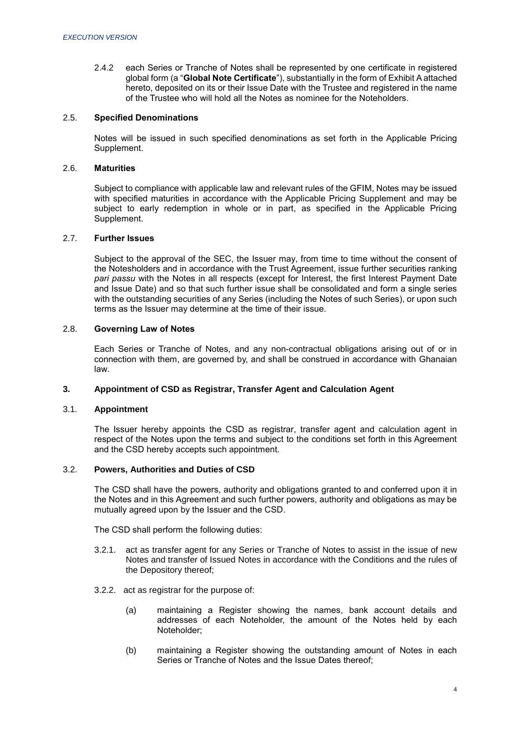2.4.2 each Series or Tranche of Notes shall be represented by one certificate in registered global form (a "**Global Note Certificate**"), substantially in the form of Exhibit A attached hereto, deposited on its or their Issue Date with the Trustee and registered in the name of the Trustee who will hold all the Notes as nominee for the Noteholders.

## 2.5. **Specified Denominations**

Notes will be issued in such specified denominations as set forth in the Applicable Pricing Supplement.

## 2.6. **Maturities**

Subject to compliance with applicable law and relevant rules of the GFIM, Notes may be issued with specified maturities in accordance with the Applicable Pricing Supplement and may be subject to early redemption in whole or in part, as specified in the Applicable Pricing Supplement.

## 2.7. **Further Issues**

Subject to the approval of the SEC, the Issuer may, from time to time without the consent of the Notesholders and in accordance with the Trust Agreement, issue further securities ranking *pari passu* with the Notes in all respects (except for Interest, the first Interest Payment Date and Issue Date) and so that such further issue shall be consolidated and form a single series with the outstanding securities of any Series (including the Notes of such Series), or upon such terms as the Issuer may determine at the time of their issue.

# 2.8. **Governing Law of Notes**

Each Series or Tranche of Notes, and any non-contractual obligations arising out of or in connection with them, are governed by, and shall be construed in accordance with Ghanaian law.

## <span id="page-5-0"></span>**3. Appointment of CSD as Registrar, Transfer Agent and Calculation Agent**

## 3.1. **Appointment**

The Issuer hereby appoints the CSD as registrar, transfer agent and calculation agent in respect of the Notes upon the terms and subject to the conditions set forth in this Agreement and the CSD hereby accepts such appointment.

# 3.2. **Powers, Authorities and Duties of CSD**

The CSD shall have the powers, authority and obligations granted to and conferred upon it in the Notes and in this Agreement and such further powers, authority and obligations as may be mutually agreed upon by the Issuer and the CSD.

The CSD shall perform the following duties:

- 3.2.1. act as transfer agent for any Series or Tranche of Notes to assist in the issue of new Notes and transfer of Issued Notes in accordance with the Conditions and the rules of the Depository thereof;
- 3.2.2.act as registrar for the purpose of:
	- (a) maintaining a Register showing the names, bank account details and addresses of each Noteholder, the amount of the Notes held by each Noteholder;
	- (b) maintaining a Register showing the outstanding amount of Notes in each Series or Tranche of Notes and the Issue Dates thereof;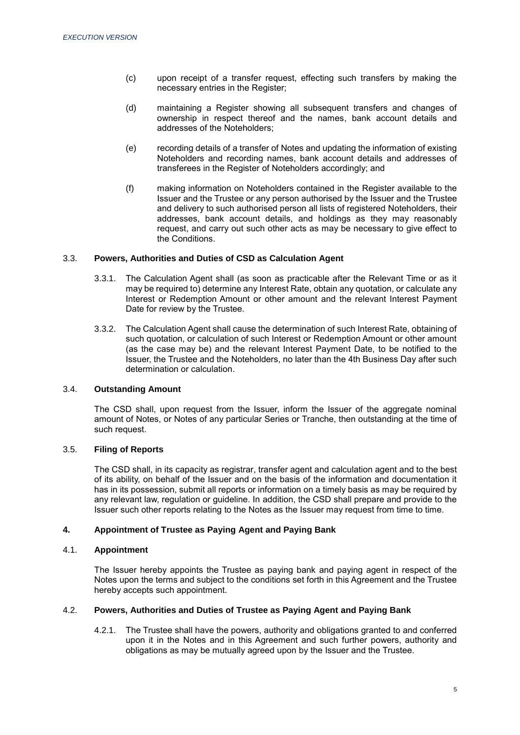- (c) upon receipt of a transfer request, effecting such transfers by making the necessary entries in the Register;
- (d) maintaining a Register showing all subsequent transfers and changes of ownership in respect thereof and the names, bank account details and addresses of the Noteholders;
- (e) recording details of a transfer of Notes and updating the information of existing Noteholders and recording names, bank account details and addresses of transferees in the Register of Noteholders accordingly; and
- (f) making information on Noteholders contained in the Register available to the Issuer and the Trustee or any person authorised by the Issuer and the Trustee and delivery to such authorised person all lists of registered Noteholders, their addresses, bank account details, and holdings as they may reasonably request, and carry out such other acts as may be necessary to give effect to the Conditions.

## 3.3. **Powers, Authorities and Duties of CSD as Calculation Agent**

- 3.3.1. The Calculation Agent shall (as soon as practicable after the Relevant Time or as it may be required to) determine any Interest Rate, obtain any quotation, or calculate any Interest or Redemption Amount or other amount and the relevant Interest Payment Date for review by the Trustee.
- 3.3.2. The Calculation Agent shall cause the determination of such Interest Rate, obtaining of such quotation, or calculation of such Interest or Redemption Amount or other amount (as the case may be) and the relevant Interest Payment Date, to be notified to the Issuer, the Trustee and the Noteholders, no later than the 4th Business Day after such determination or calculation.

# 3.4. **Outstanding Amount**

The CSD shall, upon request from the Issuer, inform the Issuer of the aggregate nominal amount of Notes, or Notes of any particular Series or Tranche, then outstanding at the time of such request.

# 3.5. **Filing of Reports**

The CSD shall, in its capacity as registrar, transfer agent and calculation agent and to the best of its ability, on behalf of the Issuer and on the basis of the information and documentation it has in its possession, submit all reports or information on a timely basis as may be required by any relevant law, regulation or guideline. In addition, the CSD shall prepare and provide to the Issuer such other reports relating to the Notes as the Issuer may request from time to time.

# <span id="page-6-0"></span>**4. Appointment of Trustee as Paying Agent and Paying Bank**

# 4.1. **Appointment**

The Issuer hereby appoints the Trustee as paying bank and paying agent in respect of the Notes upon the terms and subject to the conditions set forth in this Agreement and the Trustee hereby accepts such appointment.

## 4.2. **Powers, Authorities and Duties of Trustee as Paying Agent and Paying Bank**

4.2.1. The Trustee shall have the powers, authority and obligations granted to and conferred upon it in the Notes and in this Agreement and such further powers, authority and obligations as may be mutually agreed upon by the Issuer and the Trustee.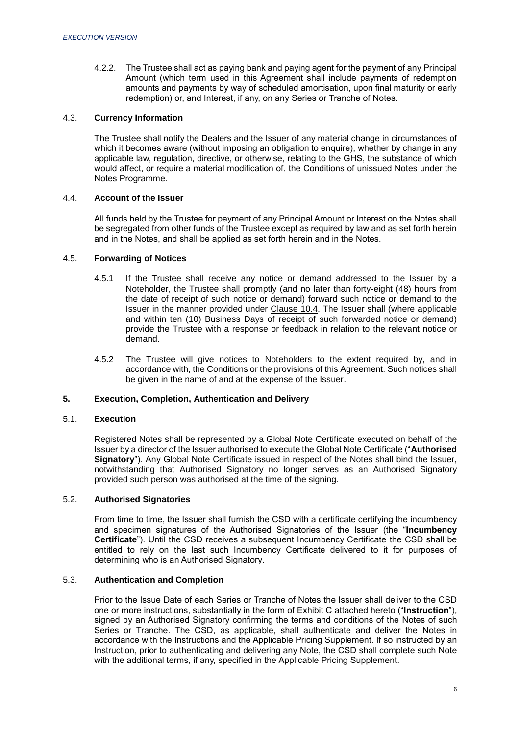4.2.2. The Trustee shall act as paying bank and paying agent for the payment of any Principal Amount (which term used in this Agreement shall include payments of redemption amounts and payments by way of scheduled amortisation, upon final maturity or early redemption) or, and Interest, if any, on any Series or Tranche of Notes.

## 4.3. **Currency Information**

The Trustee shall notify the Dealers and the Issuer of any material change in circumstances of which it becomes aware (without imposing an obligation to enquire), whether by change in any applicable law, regulation, directive, or otherwise, relating to the GHS, the substance of which would affect, or require a material modification of, the Conditions of unissued Notes under the Notes Programme.

#### 4.4. **Account of the Issuer**

All funds held by the Trustee for payment of any Principal Amount or Interest on the Notes shall be segregated from other funds of the Trustee except as required by law and as set forth herein and in the Notes, and shall be applied as set forth herein and in the Notes.

## 4.5. **Forwarding of Notices**

- 4.5.1 If the Trustee shall receive any notice or demand addressed to the Issuer by a Noteholder, the Trustee shall promptly (and no later than forty-eight (48) hours from the date of receipt of such notice or demand) forward such notice or demand to the Issuer in the manner provided under Clause 10.4. The Issuer shall (where applicable and within ten (10) Business Days of receipt of such forwarded notice or demand) provide the Trustee with a response or feedback in relation to the relevant notice or demand.
- 4.5.2 The Trustee will give notices to Noteholders to the extent required by, and in accordance with, the Conditions or the provisions of this Agreement. Such notices shall be given in the name of and at the expense of the Issuer.

# <span id="page-7-0"></span>**5. Execution, Completion, Authentication and Delivery**

#### 5.1. **Execution**

Registered Notes shall be represented by a Global Note Certificate executed on behalf of the Issuer by a director of the Issuer authorised to execute the Global Note Certificate ("**Authorised Signatory**"). Any Global Note Certificate issued in respect of the Notes shall bind the Issuer, notwithstanding that Authorised Signatory no longer serves as an Authorised Signatory provided such person was authorised at the time of the signing.

#### 5.2. **Authorised Signatories**

From time to time, the Issuer shall furnish the CSD with a certificate certifying the incumbency and specimen signatures of the Authorised Signatories of the Issuer (the "**Incumbency Certificate**"). Until the CSD receives a subsequent Incumbency Certificate the CSD shall be entitled to rely on the last such Incumbency Certificate delivered to it for purposes of determining who is an Authorised Signatory.

#### 5.3. **Authentication and Completion**

Prior to the Issue Date of each Series or Tranche of Notes the Issuer shall deliver to the CSD one or more instructions, substantially in the form of Exhibit C attached hereto ("**Instruction**"), signed by an Authorised Signatory confirming the terms and conditions of the Notes of such Series or Tranche. The CSD, as applicable, shall authenticate and deliver the Notes in accordance with the Instructions and the Applicable Pricing Supplement. If so instructed by an Instruction, prior to authenticating and delivering any Note, the CSD shall complete such Note with the additional terms, if any, specified in the Applicable Pricing Supplement.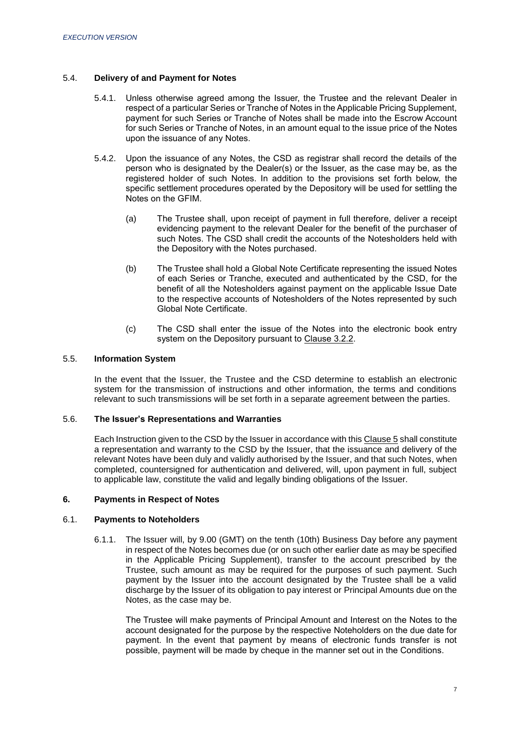# 5.4. **Delivery of and Payment for Notes**

- 5.4.1. Unless otherwise agreed among the Issuer, the Trustee and the relevant Dealer in respect of a particular Series or Tranche of Notes in the Applicable Pricing Supplement, payment for such Series or Tranche of Notes shall be made into the Escrow Account for such Series or Tranche of Notes, in an amount equal to the issue price of the Notes upon the issuance of any Notes.
- 5.4.2. Upon the issuance of any Notes, the CSD as registrar shall record the details of the person who is designated by the Dealer(s) or the Issuer, as the case may be, as the registered holder of such Notes. In addition to the provisions set forth below, the specific settlement procedures operated by the Depository will be used for settling the Notes on the GFIM.
	- (a) The Trustee shall, upon receipt of payment in full therefore, deliver a receipt evidencing payment to the relevant Dealer for the benefit of the purchaser of such Notes. The CSD shall credit the accounts of the Notesholders held with the Depository with the Notes purchased.
	- (b) The Trustee shall hold a Global Note Certificate representing the issued Notes of each Series or Tranche, executed and authenticated by the CSD, for the benefit of all the Notesholders against payment on the applicable Issue Date to the respective accounts of Notesholders of the Notes represented by such Global Note Certificate.
	- (c) The CSD shall enter the issue of the Notes into the electronic book entry system on the Depository pursuant to Clause 3.2.2.

# 5.5. **Information System**

In the event that the Issuer, the Trustee and the CSD determine to establish an electronic system for the transmission of instructions and other information, the terms and conditions relevant to such transmissions will be set forth in a separate agreement between the parties.

## 5.6. **The Issuer's Representations and Warranties**

Each Instruction given to the CSD by the Issuer in accordance with this Clause 5 shall constitute a representation and warranty to the CSD by the Issuer, that the issuance and delivery of the relevant Notes have been duly and validly authorised by the Issuer, and that such Notes, when completed, countersigned for authentication and delivered, will, upon payment in full, subject to applicable law, constitute the valid and legally binding obligations of the Issuer.

## <span id="page-8-0"></span>**6. Payments in Respect of Notes**

# 6.1. **Payments to Noteholders**

6.1.1. The Issuer will, by 9.00 (GMT) on the tenth (10th) Business Day before any payment in respect of the Notes becomes due (or on such other earlier date as may be specified in the Applicable Pricing Supplement), transfer to the account prescribed by the Trustee, such amount as may be required for the purposes of such payment. Such payment by the Issuer into the account designated by the Trustee shall be a valid discharge by the Issuer of its obligation to pay interest or Principal Amounts due on the Notes, as the case may be.

The Trustee will make payments of Principal Amount and Interest on the Notes to the account designated for the purpose by the respective Noteholders on the due date for payment. In the event that payment by means of electronic funds transfer is not possible, payment will be made by cheque in the manner set out in the Conditions.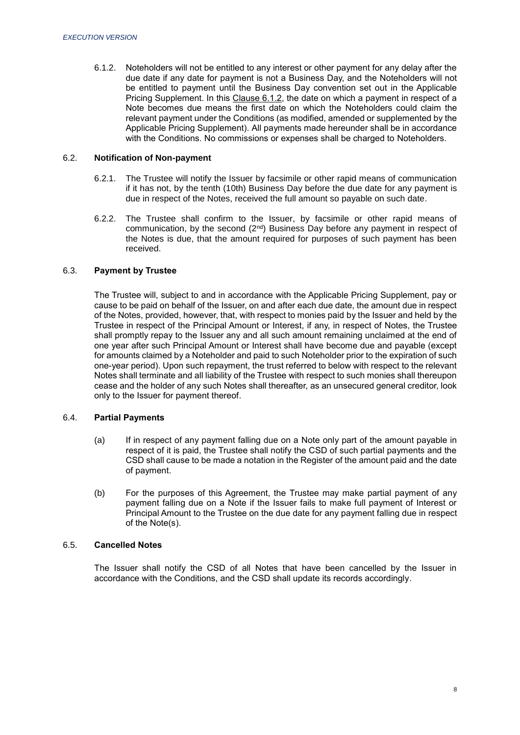6.1.2. Noteholders will not be entitled to any interest or other payment for any delay after the due date if any date for payment is not a Business Day, and the Noteholders will not be entitled to payment until the Business Day convention set out in the Applicable Pricing Supplement. In this Clause 6.1.2, the date on which a payment in respect of a Note becomes due means the first date on which the Noteholders could claim the relevant payment under the Conditions (as modified, amended or supplemented by the Applicable Pricing Supplement). All payments made hereunder shall be in accordance with the Conditions. No commissions or expenses shall be charged to Noteholders.

## 6.2. **Notification of Non-payment**

- 6.2.1. The Trustee will notify the Issuer by facsimile or other rapid means of communication if it has not, by the tenth (10th) Business Day before the due date for any payment is due in respect of the Notes, received the full amount so payable on such date.
- 6.2.2. The Trustee shall confirm to the Issuer, by facsimile or other rapid means of communication, by the second  $(2<sup>nd</sup>)$  Business Day before any payment in respect of the Notes is due, that the amount required for purposes of such payment has been received.

## 6.3. **Payment by Trustee**

The Trustee will, subject to and in accordance with the Applicable Pricing Supplement, pay or cause to be paid on behalf of the Issuer, on and after each due date, the amount due in respect of the Notes, provided, however, that, with respect to monies paid by the Issuer and held by the Trustee in respect of the Principal Amount or Interest, if any, in respect of Notes, the Trustee shall promptly repay to the Issuer any and all such amount remaining unclaimed at the end of one year after such Principal Amount or Interest shall have become due and payable (except for amounts claimed by a Noteholder and paid to such Noteholder prior to the expiration of such one-year period). Upon such repayment, the trust referred to below with respect to the relevant Notes shall terminate and all liability of the Trustee with respect to such monies shall thereupon cease and the holder of any such Notes shall thereafter, as an unsecured general creditor, look only to the Issuer for payment thereof.

# 6.4. **Partial Payments**

- (a) If in respect of any payment falling due on a Note only part of the amount payable in respect of it is paid, the Trustee shall notify the CSD of such partial payments and the CSD shall cause to be made a notation in the Register of the amount paid and the date of payment.
- (b) For the purposes of this Agreement, the Trustee may make partial payment of any payment falling due on a Note if the Issuer fails to make full payment of Interest or Principal Amount to the Trustee on the due date for any payment falling due in respect of the Note(s).

## 6.5. **Cancelled Notes**

The Issuer shall notify the CSD of all Notes that have been cancelled by the Issuer in accordance with the Conditions, and the CSD shall update its records accordingly.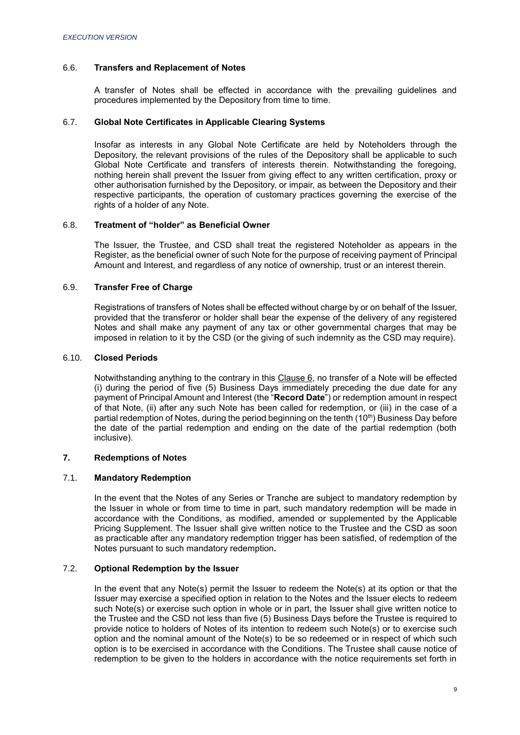## 6.6. **Transfers and Replacement of Notes**

A transfer of Notes shall be effected in accordance with the prevailing guidelines and procedures implemented by the Depository from time to time.

## 6.7. **Global Note Certificates in Applicable Clearing Systems**

Insofar as interests in any Global Note Certificate are held by Noteholders through the Depository, the relevant provisions of the rules of the Depository shall be applicable to such Global Note Certificate and transfers of interests therein. Notwithstanding the foregoing, nothing herein shall prevent the Issuer from giving effect to any written certification, proxy or other authorisation furnished by the Depository, or impair, as between the Depository and their respective participants, the operation of customary practices governing the exercise of the rights of a holder of any Note.

## 6.8. **Treatment of "holder" as Beneficial Owner**

The Issuer, the Trustee, and CSD shall treat the registered Noteholder as appears in the Register, as the beneficial owner of such Note for the purpose of receiving payment of Principal Amount and Interest, and regardless of any notice of ownership, trust or an interest therein.

# 6.9. **Transfer Free of Charge**

Registrations of transfers of Notes shall be effected without charge by or on behalf of the Issuer, provided that the transferor or holder shall bear the expense of the delivery of any registered Notes and shall make any payment of any tax or other governmental charges that may be imposed in relation to it by the CSD (or the giving of such indemnity as the CSD may require).

# 6.10. **Closed Periods**

Notwithstanding anything to the contrary in this Clause 6, no transfer of a Note will be effected (i) during the period of five (5) Business Days immediately preceding the due date for any payment of Principal Amount and Interest (the "**Record Date**") or redemption amount in respect of that Note, (ii) after any such Note has been called for redemption, or (iii) in the case of a partial redemption of Notes, during the period beginning on the tenth (10<sup>th</sup>) Business Day before the date of the partial redemption and ending on the date of the partial redemption (both inclusive).

# <span id="page-10-0"></span>**7. Redemptions of Notes**

## 7.1. **Mandatory Redemption**

In the event that the Notes of any Series or Tranche are subject to mandatory redemption by the Issuer in whole or from time to time in part, such mandatory redemption will be made in accordance with the Conditions, as modified, amended or supplemented by the Applicable Pricing Supplement. The Issuer shall give written notice to the Trustee and the CSD as soon as practicable after any mandatory redemption trigger has been satisfied, of redemption of the Notes pursuant to such mandatory redemption**.**

# 7.2. **Optional Redemption by the Issuer**

In the event that any Note(s) permit the Issuer to redeem the Note(s) at its option or that the Issuer may exercise a specified option in relation to the Notes and the Issuer elects to redeem such Note(s) or exercise such option in whole or in part, the Issuer shall give written notice to the Trustee and the CSD not less than five (5) Business Days before the Trustee is required to provide notice to holders of Notes of its intention to redeem such Note(s) or to exercise such option and the nominal amount of the Note(s) to be so redeemed or in respect of which such option is to be exercised in accordance with the Conditions. The Trustee shall cause notice of redemption to be given to the holders in accordance with the notice requirements set forth in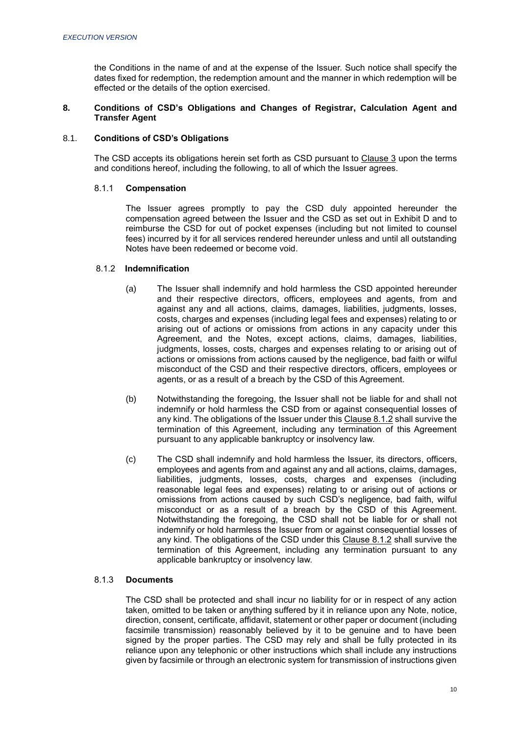the Conditions in the name of and at the expense of the Issuer. Such notice shall specify the dates fixed for redemption, the redemption amount and the manner in which redemption will be effected or the details of the option exercised.

## <span id="page-11-0"></span>**8. Conditions of CSD's Obligations and Changes of Registrar, Calculation Agent and Transfer Agent**

# 8.1. **Conditions of CSD's Obligations**

The CSD accepts its obligations herein set forth as CSD pursuant to Clause 3 upon the terms and conditions hereof, including the following, to all of which the Issuer agrees.

## 8.1.1 **Compensation**

The Issuer agrees promptly to pay the CSD duly appointed hereunder the compensation agreed between the Issuer and the CSD as set out in Exhibit D and to reimburse the CSD for out of pocket expenses (including but not limited to counsel fees) incurred by it for all services rendered hereunder unless and until all outstanding Notes have been redeemed or become void.

# 8.1.2 **Indemnification**

- (a) The Issuer shall indemnify and hold harmless the CSD appointed hereunder and their respective directors, officers, employees and agents, from and against any and all actions, claims, damages, liabilities, judgments, losses, costs, charges and expenses (including legal fees and expenses) relating to or arising out of actions or omissions from actions in any capacity under this Agreement, and the Notes, except actions, claims, damages, liabilities, judgments, losses, costs, charges and expenses relating to or arising out of actions or omissions from actions caused by the negligence, bad faith or wilful misconduct of the CSD and their respective directors, officers, employees or agents, or as a result of a breach by the CSD of this Agreement.
- (b) Notwithstanding the foregoing, the Issuer shall not be liable for and shall not indemnify or hold harmless the CSD from or against consequential losses of any kind. The obligations of the Issuer under this Clause 8.1.2 shall survive the termination of this Agreement, including any termination of this Agreement pursuant to any applicable bankruptcy or insolvency law.
- (c) The CSD shall indemnify and hold harmless the Issuer, its directors, officers, employees and agents from and against any and all actions, claims, damages, liabilities, judgments, losses, costs, charges and expenses (including reasonable legal fees and expenses) relating to or arising out of actions or omissions from actions caused by such CSD's negligence, bad faith, wilful misconduct or as a result of a breach by the CSD of this Agreement. Notwithstanding the foregoing, the CSD shall not be liable for or shall not indemnify or hold harmless the Issuer from or against consequential losses of any kind. The obligations of the CSD under this Clause 8.1.2 shall survive the termination of this Agreement, including any termination pursuant to any applicable bankruptcy or insolvency law.

## 8.1.3 **Documents**

The CSD shall be protected and shall incur no liability for or in respect of any action taken, omitted to be taken or anything suffered by it in reliance upon any Note, notice, direction, consent, certificate, affidavit, statement or other paper or document (including facsimile transmission) reasonably believed by it to be genuine and to have been signed by the proper parties. The CSD may rely and shall be fully protected in its reliance upon any telephonic or other instructions which shall include any instructions given by facsimile or through an electronic system for transmission of instructions given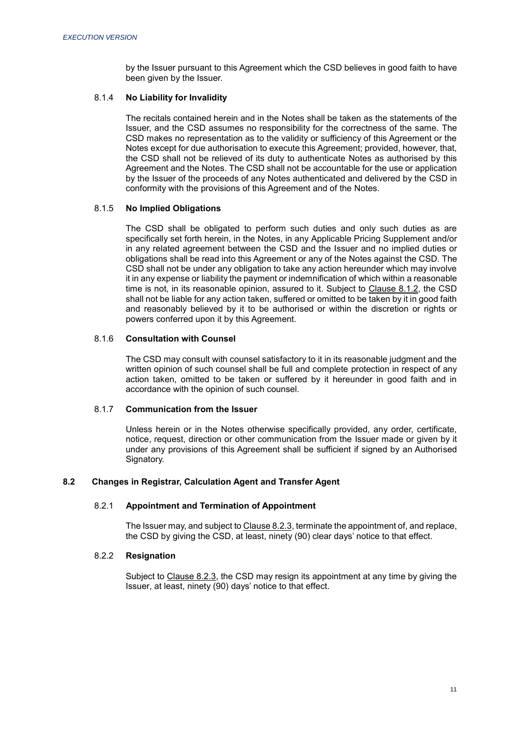by the Issuer pursuant to this Agreement which the CSD believes in good faith to have been given by the Issuer.

## 8.1.4 **No Liability for Invalidity**

The recitals contained herein and in the Notes shall be taken as the statements of the Issuer, and the CSD assumes no responsibility for the correctness of the same. The CSD makes no representation as to the validity or sufficiency of this Agreement or the Notes except for due authorisation to execute this Agreement; provided, however, that, the CSD shall not be relieved of its duty to authenticate Notes as authorised by this Agreement and the Notes. The CSD shall not be accountable for the use or application by the Issuer of the proceeds of any Notes authenticated and delivered by the CSD in conformity with the provisions of this Agreement and of the Notes.

# 8.1.5 **No Implied Obligations**

The CSD shall be obligated to perform such duties and only such duties as are specifically set forth herein, in the Notes, in any Applicable Pricing Supplement and/or in any related agreement between the CSD and the Issuer and no implied duties or obligations shall be read into this Agreement or any of the Notes against the CSD. The CSD shall not be under any obligation to take any action hereunder which may involve it in any expense or liability the payment or indemnification of which within a reasonable time is not, in its reasonable opinion, assured to it. Subject to Clause 8.1.2, the CSD shall not be liable for any action taken, suffered or omitted to be taken by it in good faith and reasonably believed by it to be authorised or within the discretion or rights or powers conferred upon it by this Agreement.

# 8.1.6 **Consultation with Counsel**

The CSD may consult with counsel satisfactory to it in its reasonable judgment and the written opinion of such counsel shall be full and complete protection in respect of any action taken, omitted to be taken or suffered by it hereunder in good faith and in accordance with the opinion of such counsel.

## 8.1.7 **Communication from the Issuer**

Unless herein or in the Notes otherwise specifically provided, any order, certificate, notice, request, direction or other communication from the Issuer made or given by it under any provisions of this Agreement shall be sufficient if signed by an Authorised Signatory.

# **8.2 Changes in Registrar, Calculation Agent and Transfer Agent**

# 8.2.1 **Appointment and Termination of Appointment**

The Issuer may, and subject to Clause 8.2.3, terminate the appointment of, and replace, the CSD by giving the CSD, at least, ninety (90) clear days' notice to that effect.

# 8.2.2 **Resignation**

Subject to Clause 8.2.3, the CSD may resign its appointment at any time by giving the Issuer, at least, ninety (90) days' notice to that effect.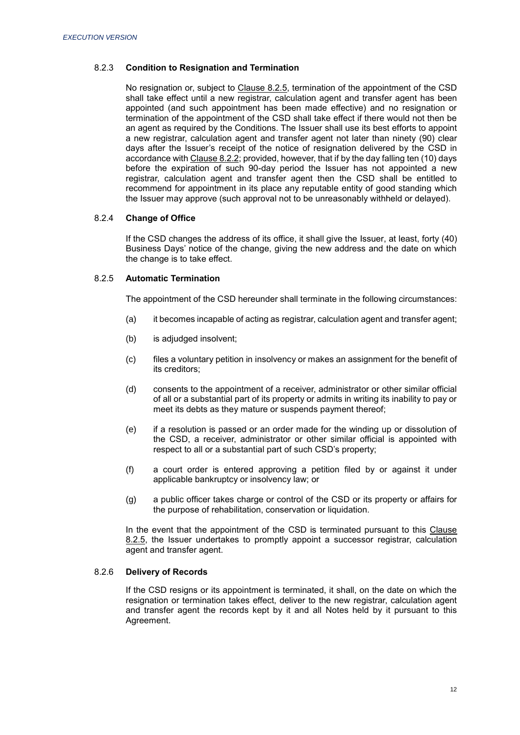# 8.2.3 **Condition to Resignation and Termination**

No resignation or, subject to Clause 8.2.5, termination of the appointment of the CSD shall take effect until a new registrar, calculation agent and transfer agent has been appointed (and such appointment has been made effective) and no resignation or termination of the appointment of the CSD shall take effect if there would not then be an agent as required by the Conditions. The Issuer shall use its best efforts to appoint a new registrar, calculation agent and transfer agent not later than ninety (90) clear days after the Issuer's receipt of the notice of resignation delivered by the CSD in accordance with Clause 8.2.2; provided, however, that if by the day falling ten (10) days before the expiration of such 90-day period the Issuer has not appointed a new registrar, calculation agent and transfer agent then the CSD shall be entitled to recommend for appointment in its place any reputable entity of good standing which the Issuer may approve (such approval not to be unreasonably withheld or delayed).

# 8.2.4 **Change of Office**

If the CSD changes the address of its office, it shall give the Issuer, at least, forty (40) Business Days' notice of the change, giving the new address and the date on which the change is to take effect.

## 8.2.5 **Automatic Termination**

The appointment of the CSD hereunder shall terminate in the following circumstances:

- (a) it becomes incapable of acting as registrar, calculation agent and transfer agent;
- (b) is adjudged insolvent;
- (c) files a voluntary petition in insolvency or makes an assignment for the benefit of its creditors;
- (d) consents to the appointment of a receiver, administrator or other similar official of all or a substantial part of its property or admits in writing its inability to pay or meet its debts as they mature or suspends payment thereof;
- (e) if a resolution is passed or an order made for the winding up or dissolution of the CSD, a receiver, administrator or other similar official is appointed with respect to all or a substantial part of such CSD's property;
- (f) a court order is entered approving a petition filed by or against it under applicable bankruptcy or insolvency law; or
- (g) a public officer takes charge or control of the CSD or its property or affairs for the purpose of rehabilitation, conservation or liquidation.

In the event that the appointment of the CSD is terminated pursuant to this Clause 8.2.5, the Issuer undertakes to promptly appoint a successor registrar, calculation agent and transfer agent.

# 8.2.6 **Delivery of Records**

If the CSD resigns or its appointment is terminated, it shall, on the date on which the resignation or termination takes effect, deliver to the new registrar, calculation agent and transfer agent the records kept by it and all Notes held by it pursuant to this Agreement.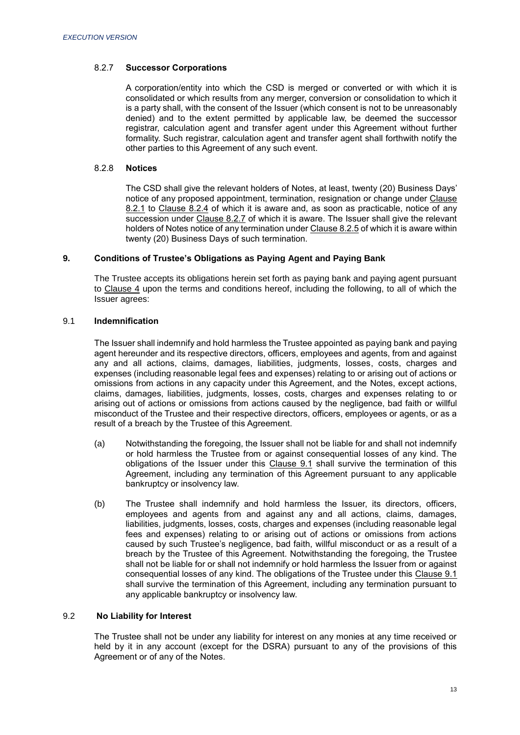# 8.2.7 **Successor Corporations**

A corporation/entity into which the CSD is merged or converted or with which it is consolidated or which results from any merger, conversion or consolidation to which it is a party shall, with the consent of the Issuer (which consent is not to be unreasonably denied) and to the extent permitted by applicable law, be deemed the successor registrar, calculation agent and transfer agent under this Agreement without further formality. Such registrar, calculation agent and transfer agent shall forthwith notify the other parties to this Agreement of any such event.

# 8.2.8 **Notices**

The CSD shall give the relevant holders of Notes, at least, twenty (20) Business Days' notice of any proposed appointment, termination, resignation or change under Clause 8.2.1 to Clause 8.2.4 of which it is aware and, as soon as practicable, notice of any succession under Clause 8.2.7 of which it is aware. The Issuer shall give the relevant holders of Notes notice of any termination under Clause 8.2.5 of which it is aware within twenty (20) Business Days of such termination.

# <span id="page-14-0"></span>**9. Conditions of Trustee's Obligations as Paying Agent and Paying Bank**

The Trustee accepts its obligations herein set forth as paying bank and paying agent pursuant to Clause 4 upon the terms and conditions hereof, including the following, to all of which the Issuer agrees:

# 9.1 **Indemnification**

The Issuer shall indemnify and hold harmless the Trustee appointed as paying bank and paying agent hereunder and its respective directors, officers, employees and agents, from and against any and all actions, claims, damages, liabilities, judgments, losses, costs, charges and expenses (including reasonable legal fees and expenses) relating to or arising out of actions or omissions from actions in any capacity under this Agreement, and the Notes, except actions, claims, damages, liabilities, judgments, losses, costs, charges and expenses relating to or arising out of actions or omissions from actions caused by the negligence, bad faith or willful misconduct of the Trustee and their respective directors, officers, employees or agents, or as a result of a breach by the Trustee of this Agreement.

- (a) Notwithstanding the foregoing, the Issuer shall not be liable for and shall not indemnify or hold harmless the Trustee from or against consequential losses of any kind. The obligations of the Issuer under this Clause 9.1 shall survive the termination of this Agreement, including any termination of this Agreement pursuant to any applicable bankruptcy or insolvency law.
- (b) The Trustee shall indemnify and hold harmless the Issuer, its directors, officers, employees and agents from and against any and all actions, claims, damages, liabilities, judgments, losses, costs, charges and expenses (including reasonable legal fees and expenses) relating to or arising out of actions or omissions from actions caused by such Trustee's negligence, bad faith, willful misconduct or as a result of a breach by the Trustee of this Agreement. Notwithstanding the foregoing, the Trustee shall not be liable for or shall not indemnify or hold harmless the Issuer from or against consequential losses of any kind. The obligations of the Trustee under this Clause 9.1 shall survive the termination of this Agreement, including any termination pursuant to any applicable bankruptcy or insolvency law.

# 9.2 **No Liability for Interest**

The Trustee shall not be under any liability for interest on any monies at any time received or held by it in any account (except for the DSRA) pursuant to any of the provisions of this Agreement or of any of the Notes.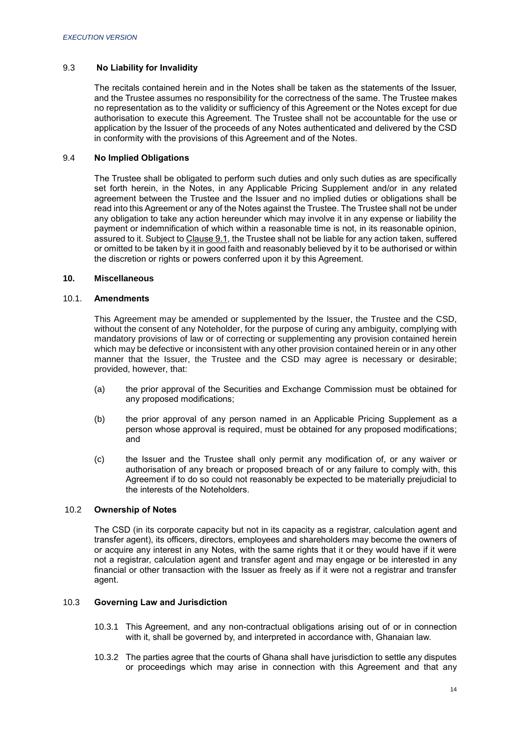# 9.3 **No Liability for Invalidity**

The recitals contained herein and in the Notes shall be taken as the statements of the Issuer, and the Trustee assumes no responsibility for the correctness of the same. The Trustee makes no representation as to the validity or sufficiency of this Agreement or the Notes except for due authorisation to execute this Agreement. The Trustee shall not be accountable for the use or application by the Issuer of the proceeds of any Notes authenticated and delivered by the CSD in conformity with the provisions of this Agreement and of the Notes.

# 9.4 **No Implied Obligations**

The Trustee shall be obligated to perform such duties and only such duties as are specifically set forth herein, in the Notes, in any Applicable Pricing Supplement and/or in any related agreement between the Trustee and the Issuer and no implied duties or obligations shall be read into this Agreement or any of the Notes against the Trustee. The Trustee shall not be under any obligation to take any action hereunder which may involve it in any expense or liability the payment or indemnification of which within a reasonable time is not, in its reasonable opinion, assured to it. Subject to Clause 9.1, the Trustee shall not be liable for any action taken, suffered or omitted to be taken by it in good faith and reasonably believed by it to be authorised or within the discretion or rights or powers conferred upon it by this Agreement.

# <span id="page-15-0"></span>**10. Miscellaneous**

## 10.1. **Amendments**

This Agreement may be amended or supplemented by the Issuer, the Trustee and the CSD, without the consent of any Noteholder, for the purpose of curing any ambiguity, complying with mandatory provisions of law or of correcting or supplementing any provision contained herein which may be defective or inconsistent with any other provision contained herein or in any other manner that the Issuer, the Trustee and the CSD may agree is necessary or desirable; provided, however, that:

- (a) the prior approval of the Securities and Exchange Commission must be obtained for any proposed modifications;
- (b) the prior approval of any person named in an Applicable Pricing Supplement as a person whose approval is required, must be obtained for any proposed modifications; and
- (c) the Issuer and the Trustee shall only permit any modification of, or any waiver or authorisation of any breach or proposed breach of or any failure to comply with, this Agreement if to do so could not reasonably be expected to be materially prejudicial to the interests of the Noteholders.

## 10.2 **Ownership of Notes**

The CSD (in its corporate capacity but not in its capacity as a registrar, calculation agent and transfer agent), its officers, directors, employees and shareholders may become the owners of or acquire any interest in any Notes, with the same rights that it or they would have if it were not a registrar, calculation agent and transfer agent and may engage or be interested in any financial or other transaction with the Issuer as freely as if it were not a registrar and transfer agent.

## 10.3 **Governing Law and Jurisdiction**

- 10.3.1 This Agreement, and any non-contractual obligations arising out of or in connection with it, shall be governed by, and interpreted in accordance with, Ghanaian law.
- 10.3.2 The parties agree that the courts of Ghana shall have jurisdiction to settle any disputes or proceedings which may arise in connection with this Agreement and that any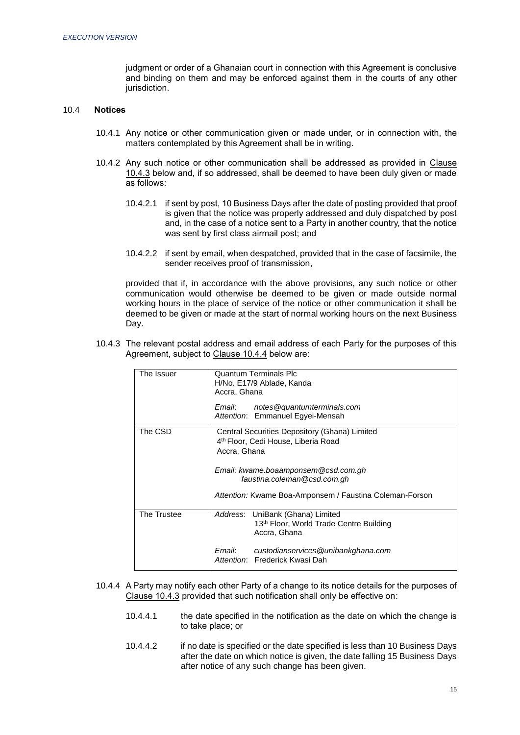judgment or order of a Ghanaian court in connection with this Agreement is conclusive and binding on them and may be enforced against them in the courts of any other jurisdiction.

# 10.4 **Notices**

- 10.4.1 Any notice or other communication given or made under, or in connection with, the matters contemplated by this Agreement shall be in writing.
- 10.4.2 Any such notice or other communication shall be addressed as provided in Clause 10.4.3 below and, if so addressed, shall be deemed to have been duly given or made as follows:
	- 10.4.2.1 if sent by post, 10 Business Days after the date of posting provided that proof is given that the notice was properly addressed and duly dispatched by post and, in the case of a notice sent to a Party in another country, that the notice was sent by first class airmail post; and
	- 10.4.2.2 if sent by email, when despatched, provided that in the case of facsimile, the sender receives proof of transmission,

provided that if, in accordance with the above provisions, any such notice or other communication would otherwise be deemed to be given or made outside normal working hours in the place of service of the notice or other communication it shall be deemed to be given or made at the start of normal working hours on the next Business Day.

10.4.3 The relevant postal address and email address of each Party for the purposes of this Agreement, subject to Clause 10.4.4 below are:

| The Issuer  | <b>Quantum Terminals Plc</b><br>H/No. E17/9 Ablade, Kanda<br>Accra, Ghana<br>notes@quantumterminals.com<br>Email:<br>Attention: Emmanuel Egyei-Mensah                                                                                             |  |
|-------------|---------------------------------------------------------------------------------------------------------------------------------------------------------------------------------------------------------------------------------------------------|--|
| The CSD     | Central Securities Depository (Ghana) Limited<br>4 <sup>th</sup> Floor, Cedi House, Liberia Road<br>Accra, Ghana<br>Email: kwame.boaamponsem@csd.com.gh<br>faustina.coleman@csd.com.gh<br>Attention: Kwame Boa-Amponsem / Faustina Coleman-Forson |  |
| The Trustee | Address: UniBank (Ghana) Limited<br>13th Floor, World Trade Centre Building<br>Accra, Ghana<br>Email:<br>custodianservices@unibankghana.com<br>Attention: Frederick Kwasi Dah                                                                     |  |

- 10.4.4 A Party may notify each other Party of a change to its notice details for the purposes of Clause 10.4.3 provided that such notification shall only be effective on:
	- 10.4.4.1 the date specified in the notification as the date on which the change is to take place; or
	- 10.4.4.2 if no date is specified or the date specified is less than 10 Business Days after the date on which notice is given, the date falling 15 Business Days after notice of any such change has been given.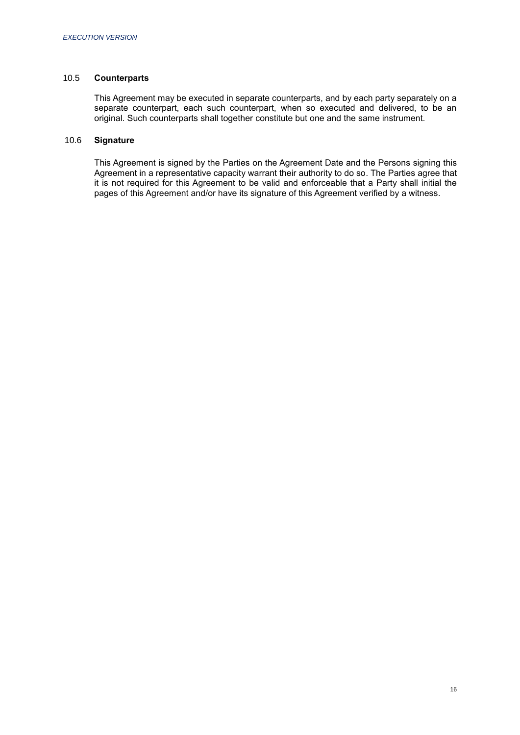## 10.5 **Counterparts**

This Agreement may be executed in separate counterparts, and by each party separately on a separate counterpart, each such counterpart, when so executed and delivered, to be an original. Such counterparts shall together constitute but one and the same instrument.

# 10.6 **Signature**

This Agreement is signed by the Parties on the Agreement Date and the Persons signing this Agreement in a representative capacity warrant their authority to do so. The Parties agree that it is not required for this Agreement to be valid and enforceable that a Party shall initial the pages of this Agreement and/or have its signature of this Agreement verified by a witness.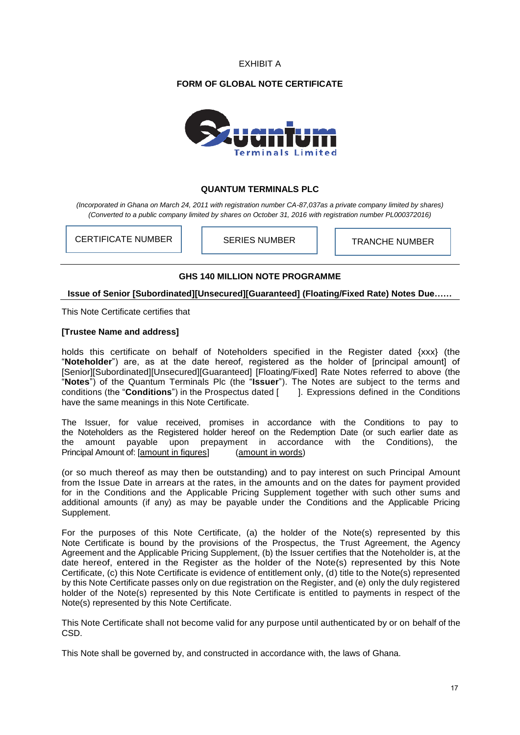EXHIBIT A

# **FORM OF GLOBAL NOTE CERTIFICATE**



# **QUANTUM TERMINALS PLC**

*(Incorporated in Ghana on March 24, 2011 with registration number CA-87,037as a private company limited by shares) (Converted to a public company limited by shares on October 31, 2016 with registration number PL000372016)*

CERTIFICATE NUMBER | | SERIES NUMBER | | TRANCHE NUMBER

# **GHS 140 MILLION NOTE PROGRAMME**

# **Issue of Senior [Subordinated][Unsecured][Guaranteed] (Floating/Fixed Rate) Notes Due……**

This Note Certificate certifies that

# **[Trustee Name and address]**

holds this certificate on behalf of Noteholders specified in the Register dated {xxx} (the "**Noteholder**") are, as at the date hereof, registered as the holder of [principal amount] of [Senior][Subordinated][Unsecured][Guaranteed] [Floating/Fixed] Rate Notes referred to above (the "**Notes**") of the Quantum Terminals Plc (the "**Issuer**"). The Notes are subject to the terms and conditions (the "**Conditions**") in the Prospectus dated [ ]. Expressions defined in the Conditions have the same meanings in this Note Certificate.

The Issuer, for value received, promises in accordance with the Conditions to pay to the Noteholders as the Registered holder hereof on the Redemption Date (or such earlier date as the amount payable upon prepayment in accordance with the Conditions), the Principal Amount of: [amount in figures] (amount in words)

(or so much thereof as may then be outstanding) and to pay interest on such Principal Amount from the Issue Date in arrears at the rates, in the amounts and on the dates for payment provided for in the Conditions and the Applicable Pricing Supplement together with such other sums and additional amounts (if any) as may be payable under the Conditions and the Applicable Pricing Supplement.

For the purposes of this Note Certificate, (a) the holder of the Note(s) represented by this Note Certificate is bound by the provisions of the Prospectus, the Trust Agreement, the Agency Agreement and the Applicable Pricing Supplement, (b) the Issuer certifies that the Noteholder is, at the date hereof, entered in the Register as the holder of the Note(s) represented by this Note Certificate, (c) this Note Certificate is evidence of entitlement only, (d) title to the Note(s) represented by this Note Certificate passes only on due registration on the Register, and (e) only the duly registered holder of the Note(s) represented by this Note Certificate is entitled to payments in respect of the Note(s) represented by this Note Certificate.

This Note Certificate shall not become valid for any purpose until authenticated by or on behalf of the CSD.

This Note shall be governed by, and constructed in accordance with, the laws of Ghana.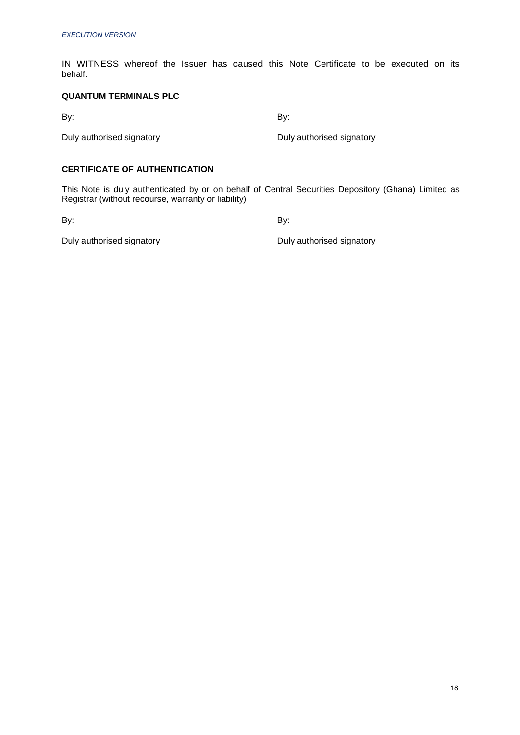IN WITNESS whereof the Issuer has caused this Note Certificate to be executed on its behalf.

# **QUANTUM TERMINALS PLC**

By: By: Exercise By: Exercise By: Exercise By:

Duly authorised signatory **Duly authorised signatory Duly authorised signatory** 

# **CERTIFICATE OF AUTHENTICATION**

This Note is duly authenticated by or on behalf of Central Securities Depository (Ghana) Limited as Registrar (without recourse, warranty or liability)

By: By:

Duly authorised signatory **Duly authorised signatory Duly authorised signatory**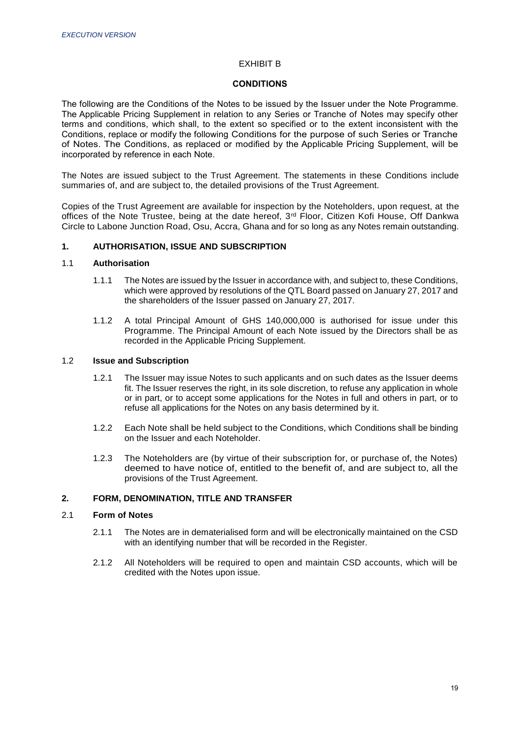# EXHIBIT B

## **CONDITIONS**

The following are the Conditions of the Notes to be issued by the Issuer under the Note Programme. The Applicable Pricing Supplement in relation to any Series or Tranche of Notes may specify other terms and conditions, which shall, to the extent so specified or to the extent inconsistent with the Conditions, replace or modify the following Conditions for the purpose of such Series or Tranche of Notes. The Conditions, as replaced or modified by the Applicable Pricing Supplement, will be incorporated by reference in each Note.

The Notes are issued subject to the Trust Agreement. The statements in these Conditions include summaries of, and are subject to, the detailed provisions of the Trust Agreement.

Copies of the Trust Agreement are available for inspection by the Noteholders, upon request, at the offices of the Note Trustee, being at the date hereof, 3rd Floor, Citizen Kofi House, Off Dankwa Circle to Labone Junction Road, Osu, Accra, Ghana and for so long as any Notes remain outstanding.

## **1. AUTHORISATION, ISSUE AND SUBSCRIPTION**

## 1.1 **Authorisation**

- 1.1.1 The Notes are issued by the Issuer in accordance with, and subject to, these Conditions, which were approved by resolutions of the QTL Board passed on January 27, 2017 and the shareholders of the Issuer passed on January 27, 2017.
- 1.1.2 A total Principal Amount of GHS 140,000,000 is authorised for issue under this Programme. The Principal Amount of each Note issued by the Directors shall be as recorded in the Applicable Pricing Supplement.

## 1.2 **Issue and Subscription**

- 1.2.1 The Issuer may issue Notes to such applicants and on such dates as the Issuer deems fit. The Issuer reserves the right, in its sole discretion, to refuse any application in whole or in part, or to accept some applications for the Notes in full and others in part, or to refuse all applications for the Notes on any basis determined by it.
- 1.2.2 Each Note shall be held subject to the Conditions, which Conditions shall be binding on the Issuer and each Noteholder.
- 1.2.3 The Noteholders are (by virtue of their subscription for, or purchase of, the Notes) deemed to have notice of, entitled to the benefit of, and are subject to, all the provisions of the Trust Agreement.

## **2. FORM, DENOMINATION, TITLE AND TRANSFER**

## 2.1 **Form of Notes**

- 2.1.1 The Notes are in dematerialised form and will be electronically maintained on the CSD with an identifying number that will be recorded in the Register.
- 2.1.2 All Noteholders will be required to open and maintain CSD accounts, which will be credited with the Notes upon issue.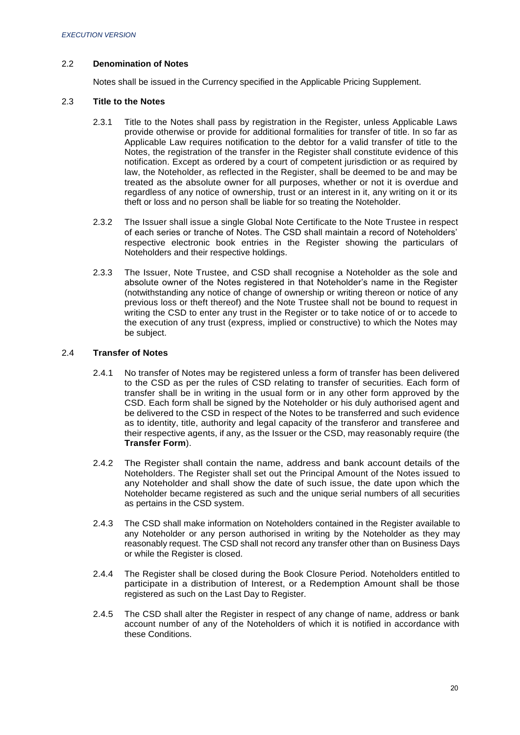# 2.2 **Denomination of Notes**

Notes shall be issued in the Currency specified in the Applicable Pricing Supplement.

## 2.3 **Title to the Notes**

- 2.3.1 Title to the Notes shall pass by registration in the Register, unless Applicable Laws provide otherwise or provide for additional formalities for transfer of title. In so far as Applicable Law requires notification to the debtor for a valid transfer of title to the Notes, the registration of the transfer in the Register shall constitute evidence of this notification. Except as ordered by a court of competent jurisdiction or as required by law, the Noteholder, as reflected in the Register, shall be deemed to be and may be treated as the absolute owner for all purposes, whether or not it is overdue and regardless of any notice of ownership, trust or an interest in it, any writing on it or its theft or loss and no person shall be liable for so treating the Noteholder.
- 2.3.2 The Issuer shall issue a single Global Note Certificate to the Note Trustee in respect of each series or tranche of Notes. The CSD shall maintain a record of Noteholders' respective electronic book entries in the Register showing the particulars of Noteholders and their respective holdings.
- 2.3.3 The Issuer, Note Trustee, and CSD shall recognise a Noteholder as the sole and absolute owner of the Notes registered in that Noteholder's name in the Register (notwithstanding any notice of change of ownership or writing thereon or notice of any previous loss or theft thereof) and the Note Trustee shall not be bound to request in writing the CSD to enter any trust in the Register or to take notice of or to accede to the execution of any trust (express, implied or constructive) to which the Notes may be subject.

## 2.4 **Transfer of Notes**

- 2.4.1 No transfer of Notes may be registered unless a form of transfer has been delivered to the CSD as per the rules of CSD relating to transfer of securities. Each form of transfer shall be in writing in the usual form or in any other form approved by the CSD. Each form shall be signed by the Noteholder or his duly authorised agent and be delivered to the CSD in respect of the Notes to be transferred and such evidence as to identity, title, authority and legal capacity of the transferor and transferee and their respective agents, if any, as the Issuer or the CSD, may reasonably require (the **Transfer Form**).
- 2.4.2 The Register shall contain the name, address and bank account details of the Noteholders. The Register shall set out the Principal Amount of the Notes issued to any Noteholder and shall show the date of such issue, the date upon which the Noteholder became registered as such and the unique serial numbers of all securities as pertains in the CSD system.
- 2.4.3 The CSD shall make information on Noteholders contained in the Register available to any Noteholder or any person authorised in writing by the Noteholder as they may reasonably request. The CSD shall not record any transfer other than on Business Days or while the Register is closed.
- 2.4.4 The Register shall be closed during the Book Closure Period. Noteholders entitled to participate in a distribution of Interest, or a Redemption Amount shall be those registered as such on the Last Day to Register.
- 2.4.5 The CSD shall alter the Register in respect of any change of name, address or bank account number of any of the Noteholders of which it is notified in accordance with these Conditions.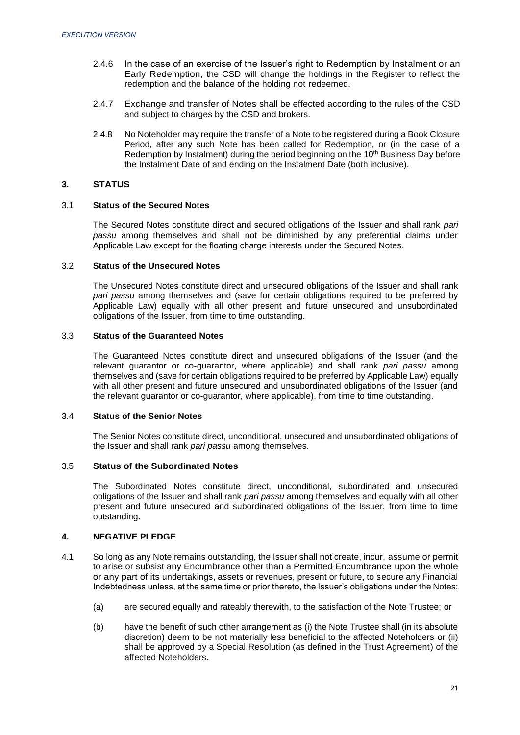- 2.4.6 In the case of an exercise of the Issuer's right to Redemption by Instalment or an Early Redemption, the CSD will change the holdings in the Register to reflect the redemption and the balance of the holding not redeemed.
- 2.4.7 Exchange and transfer of Notes shall be effected according to the rules of the CSD and subject to charges by the CSD and brokers.
- 2.4.8 No Noteholder may require the transfer of a Note to be registered during a Book Closure Period, after any such Note has been called for Redemption, or (in the case of a Redemption by Instalment) during the period beginning on the  $10<sup>th</sup>$  Business Day before the Instalment Date of and ending on the Instalment Date (both inclusive).

## **3. STATUS**

# 3.1 **Status of the Secured Notes**

The Secured Notes constitute direct and secured obligations of the Issuer and shall rank *pari passu* among themselves and shall not be diminished by any preferential claims under Applicable Law except for the floating charge interests under the Secured Notes.

## 3.2 **Status of the Unsecured Notes**

The Unsecured Notes constitute direct and unsecured obligations of the Issuer and shall rank *pari passu* among themselves and (save for certain obligations required to be preferred by Applicable Law) equally with all other present and future unsecured and unsubordinated obligations of the Issuer, from time to time outstanding.

## 3.3 **Status of the Guaranteed Notes**

The Guaranteed Notes constitute direct and unsecured obligations of the Issuer (and the relevant guarantor or co-guarantor, where applicable) and shall rank *pari passu* among themselves and (save for certain obligations required to be preferred by Applicable Law) equally with all other present and future unsecured and unsubordinated obligations of the Issuer (and the relevant guarantor or co-guarantor, where applicable), from time to time outstanding.

## 3.4 **Status of the Senior Notes**

The Senior Notes constitute direct, unconditional, unsecured and unsubordinated obligations of the Issuer and shall rank *pari passu* among themselves.

# 3.5 **Status of the Subordinated Notes**

The Subordinated Notes constitute direct, unconditional, subordinated and unsecured obligations of the Issuer and shall rank *pari passu* among themselves and equally with all other present and future unsecured and subordinated obligations of the Issuer, from time to time outstanding.

# **4. NEGATIVE PLEDGE**

- 4.1 So long as any Note remains outstanding, the Issuer shall not create, incur, assume or permit to arise or subsist any Encumbrance other than a Permitted Encumbrance upon the whole or any part of its undertakings, assets or revenues, present or future, to secure any Financial Indebtedness unless, at the same time or prior thereto, the Issuer's obligations under the Notes:
	- (a) are secured equally and rateably therewith, to the satisfaction of the Note Trustee; or
	- (b) have the benefit of such other arrangement as (i) the Note Trustee shall (in its absolute discretion) deem to be not materially less beneficial to the affected Noteholders or (ii) shall be approved by a Special Resolution (as defined in the Trust Agreement) of the affected Noteholders.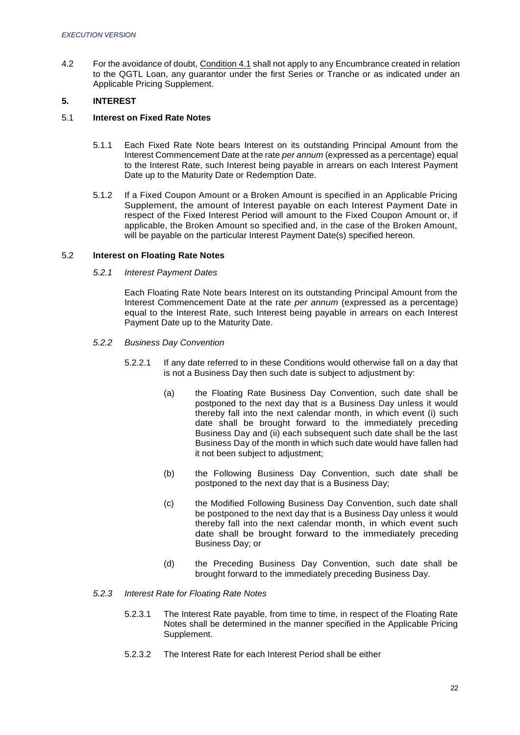4.2 For the avoidance of doubt, Condition 4.1 shall not apply to any Encumbrance created in relation to the QGTL Loan, any guarantor under the first Series or Tranche or as indicated under an Applicable Pricing Supplement.

# **5. INTEREST**

## 5.1 **Interest on Fixed Rate Notes**

- 5.1.1 Each Fixed Rate Note bears Interest on its outstanding Principal Amount from the Interest Commencement Date at the rate *per annum* (expressed as a percentage) equal to the Interest Rate, such Interest being payable in arrears on each Interest Payment Date up to the Maturity Date or Redemption Date.
- 5.1.2 If a Fixed Coupon Amount or a Broken Amount is specified in an Applicable Pricing Supplement, the amount of Interest payable on each Interest Payment Date in respect of the Fixed Interest Period will amount to the Fixed Coupon Amount or, if applicable, the Broken Amount so specified and, in the case of the Broken Amount, will be payable on the particular Interest Payment Date(s) specified hereon.

## 5.2 **Interest on Floating Rate Notes**

## *5.2.1 Interest Payment Dates*

Each Floating Rate Note bears Interest on its outstanding Principal Amount from the Interest Commencement Date at the rate *per annum* (expressed as a percentage) equal to the Interest Rate, such Interest being payable in arrears on each Interest Payment Date up to the Maturity Date.

- *5.2.2 Business Day Convention*
	- 5.2.2.1 If any date referred to in these Conditions would otherwise fall on a day that is not a Business Day then such date is subject to adjustment by:
		- (a) the Floating Rate Business Day Convention, such date shall be postponed to the next day that is a Business Day unless it would thereby fall into the next calendar month, in which event (i) such date shall be brought forward to the immediately preceding Business Day and (ii) each subsequent such date shall be the last Business Day of the month in which such date would have fallen had it not been subject to adjustment;
		- (b) the Following Business Day Convention, such date shall be postponed to the next day that is a Business Day;
		- (c) the Modified Following Business Day Convention, such date shall be postponed to the next day that is a Business Day unless it would thereby fall into the next calendar month, in which event such date shall be brought forward to the immediately preceding Business Day; or
		- (d) the Preceding Business Day Convention, such date shall be brought forward to the immediately preceding Business Day.

## *5.2.3 Interest Rate for Floating Rate Notes*

- 5.2.3.1 The Interest Rate payable, from time to time, in respect of the Floating Rate Notes shall be determined in the manner specified in the Applicable Pricing Supplement.
- 5.2.3.2 The Interest Rate for each Interest Period shall be either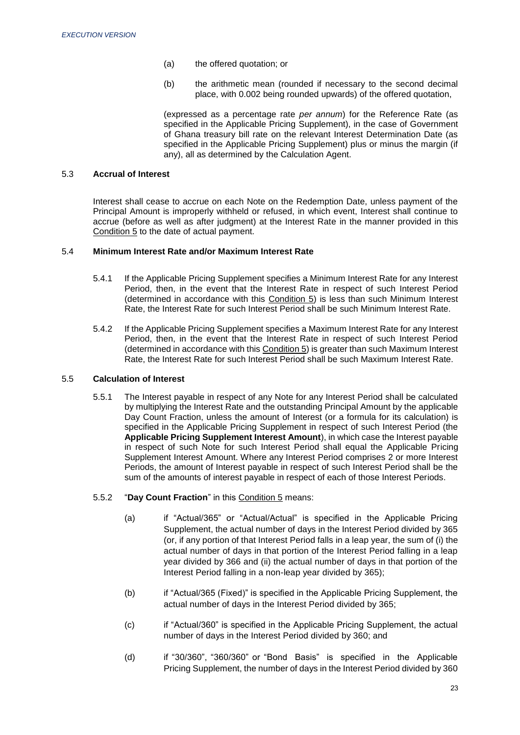- (a) the offered quotation; or
- (b) the arithmetic mean (rounded if necessary to the second decimal place, with 0.002 being rounded upwards) of the offered quotation,

(expressed as a percentage rate *per annum*) for the Reference Rate (as specified in the Applicable Pricing Supplement), in the case of Government of Ghana treasury bill rate on the relevant Interest Determination Date (as specified in the Applicable Pricing Supplement) plus or minus the margin (if any), all as determined by the Calculation Agent.

## 5.3 **Accrual of Interest**

Interest shall cease to accrue on each Note on the Redemption Date, unless payment of the Principal Amount is improperly withheld or refused, in which event, Interest shall continue to accrue (before as well as after judgment) at the Interest Rate in the manner provided in this Condition 5 to the date of actual payment.

## 5.4 **Minimum Interest Rate and/or Maximum Interest Rate**

- 5.4.1 If the Applicable Pricing Supplement specifies a Minimum Interest Rate for any Interest Period, then, in the event that the Interest Rate in respect of such Interest Period (determined in accordance with this Condition 5) is less than such Minimum Interest Rate, the Interest Rate for such Interest Period shall be such Minimum Interest Rate.
- 5.4.2 If the Applicable Pricing Supplement specifies a Maximum Interest Rate for any Interest Period, then, in the event that the Interest Rate in respect of such Interest Period (determined in accordance with this Condition 5) is greater than such Maximum Interest Rate, the Interest Rate for such Interest Period shall be such Maximum Interest Rate.

## 5.5 **Calculation of Interest**

- 5.5.1 The Interest payable in respect of any Note for any Interest Period shall be calculated by multiplying the Interest Rate and the outstanding Principal Amount by the applicable Day Count Fraction, unless the amount of Interest (or a formula for its calculation) is specified in the Applicable Pricing Supplement in respect of such Interest Period (the **Applicable Pricing Supplement Interest Amount**), in which case the Interest payable in respect of such Note for such Interest Period shall equal the Applicable Pricing Supplement Interest Amount. Where any Interest Period comprises 2 or more Interest Periods, the amount of Interest payable in respect of such Interest Period shall be the sum of the amounts of interest payable in respect of each of those Interest Periods.
- 5.5.2 "**Day Count Fraction**" in this Condition 5 means:
	- (a) if "Actual/365" or "Actual/Actual" is specified in the Applicable Pricing Supplement, the actual number of days in the Interest Period divided by 365 (or, if any portion of that Interest Period falls in a leap year, the sum of (i) the actual number of days in that portion of the Interest Period falling in a leap year divided by 366 and (ii) the actual number of days in that portion of the Interest Period falling in a non-leap year divided by 365);
	- (b) if "Actual/365 (Fixed)" is specified in the Applicable Pricing Supplement, the actual number of days in the Interest Period divided by 365;
	- (c) if "Actual/360" is specified in the Applicable Pricing Supplement, the actual number of days in the Interest Period divided by 360; and
	- (d) if "30/360", "360/360" or "Bond Basis" is specified in the Applicable Pricing Supplement, the number of days in the Interest Period divided by 360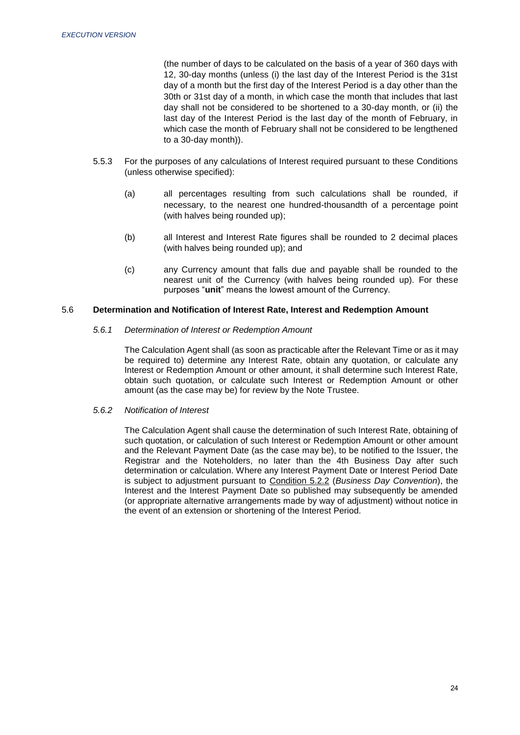(the number of days to be calculated on the basis of a year of 360 days with 12, 30-day months (unless (i) the last day of the Interest Period is the 31st day of a month but the first day of the Interest Period is a day other than the 30th or 31st day of a month, in which case the month that includes that last day shall not be considered to be shortened to a 30-day month, or (ii) the last day of the Interest Period is the last day of the month of February, in which case the month of February shall not be considered to be lengthened to a 30-day month)).

- 5.5.3 For the purposes of any calculations of Interest required pursuant to these Conditions (unless otherwise specified):
	- (a) all percentages resulting from such calculations shall be rounded, if necessary, to the nearest one hundred-thousandth of a percentage point (with halves being rounded up);
	- (b) all Interest and Interest Rate figures shall be rounded to 2 decimal places (with halves being rounded up); and
	- (c) any Currency amount that falls due and payable shall be rounded to the nearest unit of the Currency (with halves being rounded up). For these purposes "**unit**" means the lowest amount of the Currency.

# 5.6 **Determination and Notification of Interest Rate, Interest and Redemption Amount**

#### *5.6.1 Determination of Interest or Redemption Amount*

The Calculation Agent shall (as soon as practicable after the Relevant Time or as it may be required to) determine any Interest Rate, obtain any quotation, or calculate any Interest or Redemption Amount or other amount, it shall determine such Interest Rate, obtain such quotation, or calculate such Interest or Redemption Amount or other amount (as the case may be) for review by the Note Trustee.

*5.6.2 Notification of Interest*

The Calculation Agent shall cause the determination of such Interest Rate, obtaining of such quotation, or calculation of such Interest or Redemption Amount or other amount and the Relevant Payment Date (as the case may be), to be notified to the Issuer, the Registrar and the Noteholders, no later than the 4th Business Day after such determination or calculation. Where any Interest Payment Date or Interest Period Date is subject to adjustment pursuant to Condition 5.2.2 (*Business Day Convention*), the Interest and the Interest Payment Date so published may subsequently be amended (or appropriate alternative arrangements made by way of adjustment) without notice in the event of an extension or shortening of the Interest Period.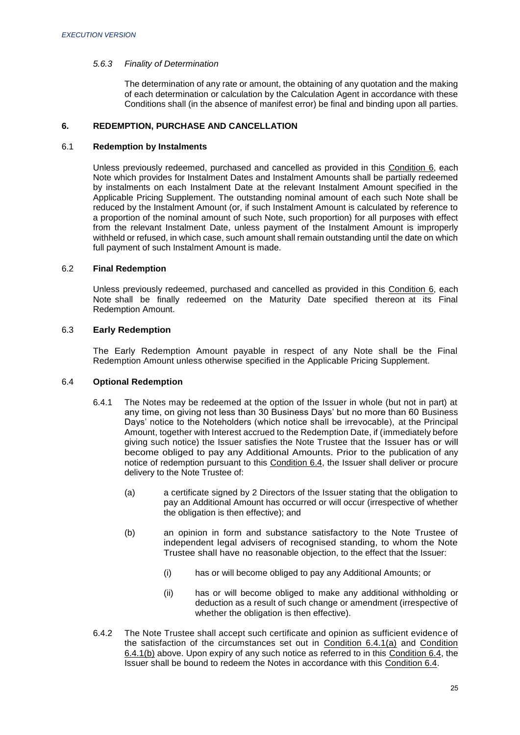## *5.6.3 Finality of Determination*

The determination of any rate or amount, the obtaining of any quotation and the making of each determination or calculation by the Calculation Agent in accordance with these Conditions shall (in the absence of manifest error) be final and binding upon all parties.

# **6. REDEMPTION, PURCHASE AND CANCELLATION**

## 6.1 **Redemption by Instalments**

Unless previously redeemed, purchased and cancelled as provided in this Condition 6, each Note which provides for Instalment Dates and Instalment Amounts shall be partially redeemed by instalments on each Instalment Date at the relevant Instalment Amount specified in the Applicable Pricing Supplement. The outstanding nominal amount of each such Note shall be reduced by the Instalment Amount (or, if such Instalment Amount is calculated by reference to a proportion of the nominal amount of such Note, such proportion) for all purposes with effect from the relevant Instalment Date, unless payment of the Instalment Amount is improperly withheld or refused, in which case, such amount shall remain outstanding until the date on which full payment of such Instalment Amount is made.

# 6.2 **Final Redemption**

Unless previously redeemed, purchased and cancelled as provided in this Condition 6, each Note shall be finally redeemed on the Maturity Date specified thereon at its Final Redemption Amount.

# 6.3 **Early Redemption**

The Early Redemption Amount payable in respect of any Note shall be the Final Redemption Amount unless otherwise specified in the Applicable Pricing Supplement.

## 6.4 **Optional Redemption**

- 6.4.1 The Notes may be redeemed at the option of the Issuer in whole (but not in part) at any time, on giving not less than 30 Business Days' but no more than 60 Business Days' notice to the Noteholders (which notice shall be irrevocable), at the Principal Amount, together with Interest accrued to the Redemption Date, if (immediately before giving such notice) the Issuer satisfies the Note Trustee that the Issuer has or will become obliged to pay any Additional Amounts. Prior to the publication of any notice of redemption pursuant to this Condition 6.4, the Issuer shall deliver or procure delivery to the Note Trustee of:
	- (a) a certificate signed by 2 Directors of the Issuer stating that the obligation to pay an Additional Amount has occurred or will occur (irrespective of whether the obligation is then effective); and
	- (b) an opinion in form and substance satisfactory to the Note Trustee of independent legal advisers of recognised standing, to whom the Note Trustee shall have no reasonable objection, to the effect that the Issuer:
		- (i) has or will become obliged to pay any Additional Amounts; or
		- (ii) has or will become obliged to make any additional withholding or deduction as a result of such change or amendment (irrespective of whether the obligation is then effective).
- 6.4.2 The Note Trustee shall accept such certificate and opinion as sufficient evidence of the satisfaction of the circumstances set out in Condition 6.4.1(a) and Condition 6.4.1(b) above. Upon expiry of any such notice as referred to in this Condition 6.4, the Issuer shall be bound to redeem the Notes in accordance with this Condition 6.4.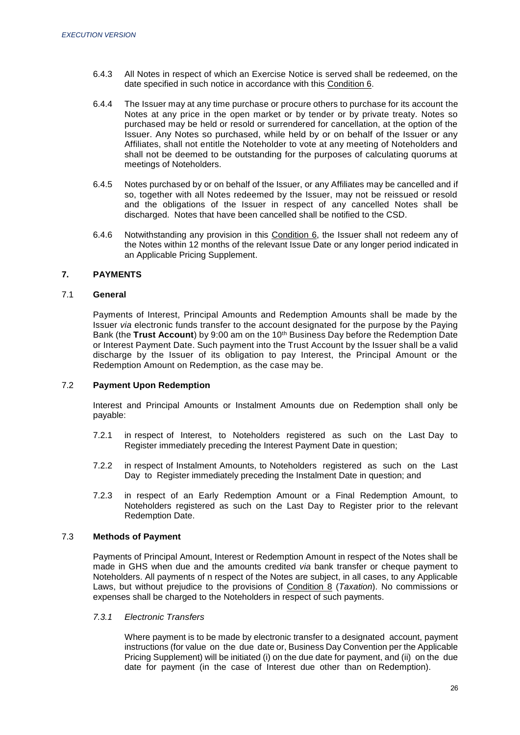- 6.4.3 All Notes in respect of which an Exercise Notice is served shall be redeemed, on the date specified in such notice in accordance with this Condition 6.
- 6.4.4 The Issuer may at any time purchase or procure others to purchase for its account the Notes at any price in the open market or by tender or by private treaty. Notes so purchased may be held or resold or surrendered for cancellation, at the option of the Issuer. Any Notes so purchased, while held by or on behalf of the Issuer or any Affiliates, shall not entitle the Noteholder to vote at any meeting of Noteholders and shall not be deemed to be outstanding for the purposes of calculating quorums at meetings of Noteholders.
- 6.4.5 Notes purchased by or on behalf of the Issuer, or any Affiliates may be cancelled and if so, together with all Notes redeemed by the Issuer, may not be reissued or resold and the obligations of the Issuer in respect of any cancelled Notes shall be discharged. Notes that have been cancelled shall be notified to the CSD.
- 6.4.6 Notwithstanding any provision in this Condition 6, the Issuer shall not redeem any of the Notes within 12 months of the relevant Issue Date or any longer period indicated in an Applicable Pricing Supplement.

# **7. PAYMENTS**

## 7.1 **General**

Payments of Interest, Principal Amounts and Redemption Amounts shall be made by the Issuer *via* electronic funds transfer to the account designated for the purpose by the Paying Bank (the **Trust Account**) by 9:00 am on the 10th Business Day before the Redemption Date or Interest Payment Date. Such payment into the Trust Account by the Issuer shall be a valid discharge by the Issuer of its obligation to pay Interest, the Principal Amount or the Redemption Amount on Redemption, as the case may be.

## 7.2 **Payment Upon Redemption**

Interest and Principal Amounts or Instalment Amounts due on Redemption shall only be payable:

- 7.2.1 in respect of Interest, to Noteholders registered as such on the Last Day to Register immediately preceding the Interest Payment Date in question;
- 7.2.2 in respect of Instalment Amounts, to Noteholders registered as such on the Last Day to Register immediately preceding the Instalment Date in question; and
- 7.2.3 in respect of an Early Redemption Amount or a Final Redemption Amount, to Noteholders registered as such on the Last Day to Register prior to the relevant Redemption Date.

## 7.3 **Methods of Payment**

Payments of Principal Amount, Interest or Redemption Amount in respect of the Notes shall be made in GHS when due and the amounts credited *via* bank transfer or cheque payment to Noteholders. All payments of n respect of the Notes are subject, in all cases, to any Applicable Laws, but without prejudice to the provisions of Condition 8 (*Taxation*). No commissions or expenses shall be charged to the Noteholders in respect of such payments.

## *7.3.1 Electronic Transfers*

Where payment is to be made by electronic transfer to a designated account, payment instructions (for value on the due date or, Business Day Convention per the Applicable Pricing Supplement) will be initiated (i) on the due date for payment, and (ii) on the due date for payment (in the case of Interest due other than on Redemption).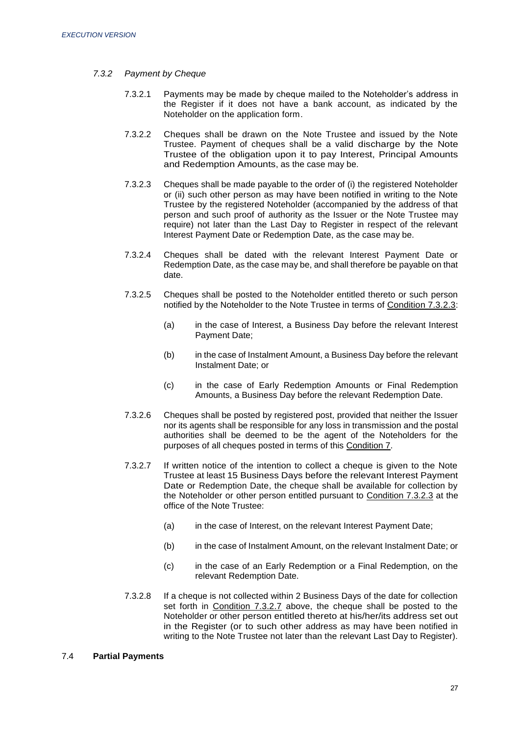## *7.3.2 Payment by Cheque*

- 7.3.2.1 Payments may be made by cheque mailed to the Noteholder's address in the Register if it does not have a bank account, as indicated by the Noteholder on the application form.
- 7.3.2.2 Cheques shall be drawn on the Note Trustee and issued by the Note Trustee. Payment of cheques shall be a valid discharge by the Note Trustee of the obligation upon it to pay Interest, Principal Amounts and Redemption Amounts, as the case may be.
- 7.3.2.3 Cheques shall be made payable to the order of (i) the registered Noteholder or (ii) such other person as may have been notified in writing to the Note Trustee by the registered Noteholder (accompanied by the address of that person and such proof of authority as the Issuer or the Note Trustee may require) not later than the Last Day to Register in respect of the relevant Interest Payment Date or Redemption Date, as the case may be.
- 7.3.2.4 Cheques shall be dated with the relevant Interest Payment Date or Redemption Date, as the case may be, and shall therefore be payable on that date.
- 7.3.2.5 Cheques shall be posted to the Noteholder entitled thereto or such person notified by the Noteholder to the Note Trustee in terms of Condition 7.3.2.3:
	- (a) in the case of Interest, a Business Day before the relevant Interest Payment Date;
	- (b) in the case of Instalment Amount, a Business Day before the relevant Instalment Date; or
	- (c) in the case of Early Redemption Amounts or Final Redemption Amounts, a Business Day before the relevant Redemption Date.
- 7.3.2.6 Cheques shall be posted by registered post, provided that neither the Issuer nor its agents shall be responsible for any loss in transmission and the postal authorities shall be deemed to be the agent of the Noteholders for the purposes of all cheques posted in terms of this Condition 7.
- 7.3.2.7 If written notice of the intention to collect a cheque is given to the Note Trustee at least 15 Business Days before the relevant Interest Payment Date or Redemption Date, the cheque shall be available for collection by the Noteholder or other person entitled pursuant to Condition 7.3.2.3 at the office of the Note Trustee:
	- (a) in the case of Interest, on the relevant Interest Payment Date;
	- (b) in the case of Instalment Amount, on the relevant Instalment Date; or
	- (c) in the case of an Early Redemption or a Final Redemption, on the relevant Redemption Date.
- 7.3.2.8 If a cheque is not collected within 2 Business Days of the date for collection set forth in Condition 7.3.2.7 above, the cheque shall be posted to the Noteholder or other person entitled thereto at his/her/its address set out in the Register (or to such other address as may have been notified in writing to the Note Trustee not later than the relevant Last Day to Register).

# 7.4 **Partial Payments**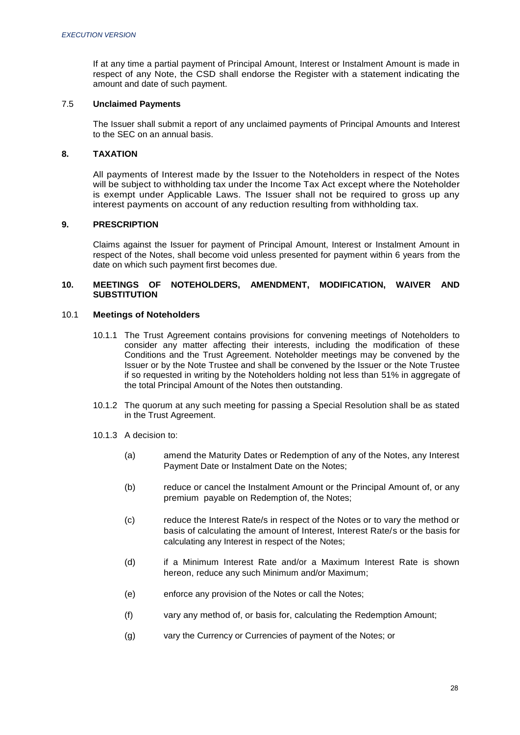If at any time a partial payment of Principal Amount, Interest or Instalment Amount is made in respect of any Note, the CSD shall endorse the Register with a statement indicating the amount and date of such payment.

## 7.5 **Unclaimed Payments**

The Issuer shall submit a report of any unclaimed payments of Principal Amounts and Interest to the SEC on an annual basis.

## **8. TAXATION**

All payments of Interest made by the Issuer to the Noteholders in respect of the Notes will be subject to withholding tax under the Income Tax Act except where the Noteholder is exempt under Applicable Laws. The Issuer shall not be required to gross up any interest payments on account of any reduction resulting from withholding tax.

## **9. PRESCRIPTION**

Claims against the Issuer for payment of Principal Amount, Interest or Instalment Amount in respect of the Notes, shall become void unless presented for payment within 6 years from the date on which such payment first becomes due.

## **10. MEETINGS OF NOTEHOLDERS, AMENDMENT, MODIFICATION, WAIVER AND SUBSTITUTION**

## 10.1 **Meetings of Noteholders**

- 10.1.1 The Trust Agreement contains provisions for convening meetings of Noteholders to consider any matter affecting their interests, including the modification of these Conditions and the Trust Agreement. Noteholder meetings may be convened by the Issuer or by the Note Trustee and shall be convened by the Issuer or the Note Trustee if so requested in writing by the Noteholders holding not less than 51% in aggregate of the total Principal Amount of the Notes then outstanding.
- 10.1.2 The quorum at any such meeting for passing a Special Resolution shall be as stated in the Trust Agreement.
- 10.1.3 A decision to:
	- (a) amend the Maturity Dates or Redemption of any of the Notes, any Interest Payment Date or Instalment Date on the Notes;
	- (b) reduce or cancel the Instalment Amount or the Principal Amount of, or any premium payable on Redemption of, the Notes;
	- (c) reduce the Interest Rate/s in respect of the Notes or to vary the method or basis of calculating the amount of Interest, Interest Rate/s or the basis for calculating any Interest in respect of the Notes;
	- (d) if a Minimum Interest Rate and/or a Maximum Interest Rate is shown hereon, reduce any such Minimum and/or Maximum;
	- (e) enforce any provision of the Notes or call the Notes;
	- (f) vary any method of, or basis for, calculating the Redemption Amount;
	- (g) vary the Currency or Currencies of payment of the Notes; or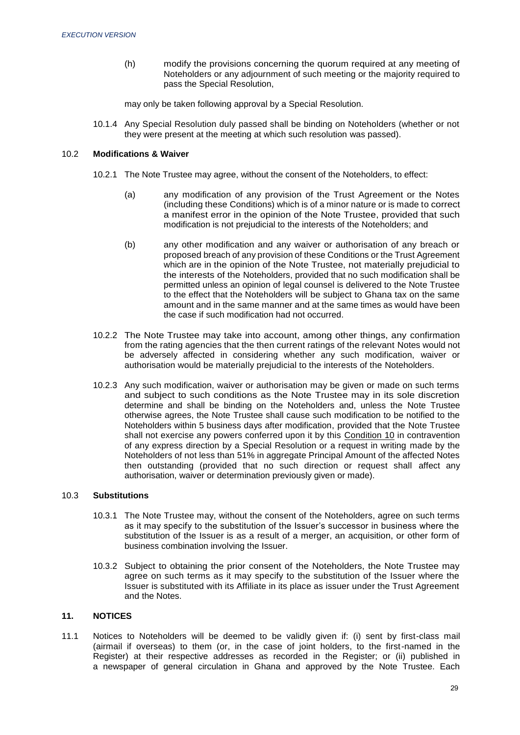(h) modify the provisions concerning the quorum required at any meeting of Noteholders or any adjournment of such meeting or the majority required to pass the Special Resolution,

may only be taken following approval by a Special Resolution.

10.1.4 Any Special Resolution duly passed shall be binding on Noteholders (whether or not they were present at the meeting at which such resolution was passed).

## 10.2 **Modifications & Waiver**

- 10.2.1 The Note Trustee may agree, without the consent of the Noteholders, to effect:
	- (a) any modification of any provision of the Trust Agreement or the Notes (including these Conditions) which is of a minor nature or is made to correct a manifest error in the opinion of the Note Trustee, provided that such modification is not prejudicial to the interests of the Noteholders; and
	- (b) any other modification and any waiver or authorisation of any breach or proposed breach of any provision of these Conditions or the Trust Agreement which are in the opinion of the Note Trustee, not materially prejudicial to the interests of the Noteholders, provided that no such modification shall be permitted unless an opinion of legal counsel is delivered to the Note Trustee to the effect that the Noteholders will be subject to Ghana tax on the same amount and in the same manner and at the same times as would have been the case if such modification had not occurred.
- 10.2.2 The Note Trustee may take into account, among other things, any confirmation from the rating agencies that the then current ratings of the relevant Notes would not be adversely affected in considering whether any such modification, waiver or authorisation would be materially prejudicial to the interests of the Noteholders.
- 10.2.3 Any such modification, waiver or authorisation may be given or made on such terms and subject to such conditions as the Note Trustee may in its sole discretion determine and shall be binding on the Noteholders and, unless the Note Trustee otherwise agrees, the Note Trustee shall cause such modification to be notified to the Noteholders within 5 business days after modification, provided that the Note Trustee shall not exercise any powers conferred upon it by this Condition 10 in contravention of any express direction by a Special Resolution or a request in writing made by the Noteholders of not less than 51% in aggregate Principal Amount of the affected Notes then outstanding (provided that no such direction or request shall affect any authorisation, waiver or determination previously given or made).

## 10.3 **Substitutions**

- 10.3.1 The Note Trustee may, without the consent of the Noteholders, agree on such terms as it may specify to the substitution of the Issuer's successor in business where the substitution of the Issuer is as a result of a merger, an acquisition, or other form of business combination involving the Issuer.
- 10.3.2 Subject to obtaining the prior consent of the Noteholders, the Note Trustee may agree on such terms as it may specify to the substitution of the Issuer where the Issuer is substituted with its Affiliate in its place as issuer under the Trust Agreement and the Notes.

# **11. NOTICES**

11.1 Notices to Noteholders will be deemed to be validly given if: (i) sent by first-class mail (airmail if overseas) to them (or, in the case of joint holders, to the first-named in the Register) at their respective addresses as recorded in the Register; or (ii) published in a newspaper of general circulation in Ghana and approved by the Note Trustee. Each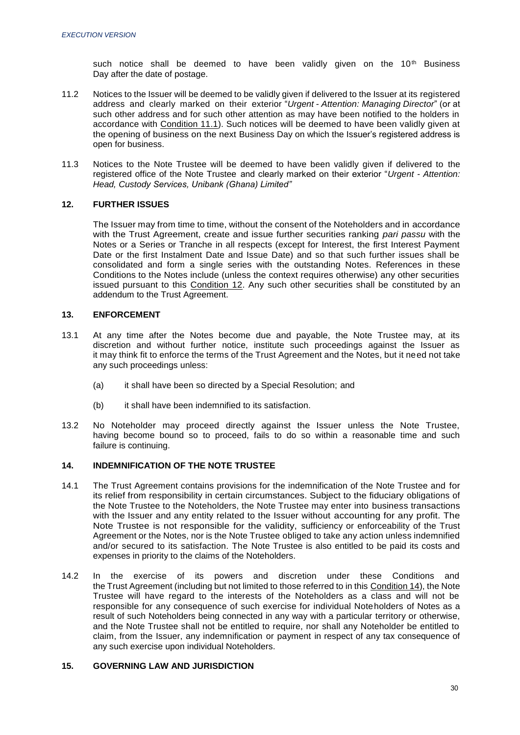such notice shall be deemed to have been validly given on the  $10<sup>th</sup>$  Business Day after the date of postage.

- 11.2 Notices to the Issuer will be deemed to be validly given if delivered to the Issuer at its registered address and clearly marked on their exterior "*Urgent - Attention: Managing Director*" (or at such other address and for such other attention as may have been notified to the holders in accordance with Condition 11.1). Such notices will be deemed to have been validly given at the opening of business on the next Business Day on which the Issuer's registered address is open for business.
- 11.3 Notices to the Note Trustee will be deemed to have been validly given if delivered to the registered office of the Note Trustee and clearly marked on their exterior "*Urgent - Attention: Head, Custody Services, Unibank (Ghana) Limited"*

# **12. FURTHER ISSUES**

The Issuer may from time to time, without the consent of the Noteholders and in accordance with the Trust Agreement, create and issue further securities ranking *pari passu* with the Notes or a Series or Tranche in all respects (except for Interest, the first Interest Payment Date or the first Instalment Date and Issue Date) and so that such further issues shall be consolidated and form a single series with the outstanding Notes. References in these Conditions to the Notes include (unless the context requires otherwise) any other securities issued pursuant to this Condition 12. Any such other securities shall be constituted by an addendum to the Trust Agreement.

# **13. ENFORCEMENT**

- 13.1 At any time after the Notes become due and payable, the Note Trustee may, at its discretion and without further notice, institute such proceedings against the Issuer as it may think fit to enforce the terms of the Trust Agreement and the Notes, but it need not take any such proceedings unless:
	- (a) it shall have been so directed by a Special Resolution; and
	- (b) it shall have been indemnified to its satisfaction.
- 13.2 No Noteholder may proceed directly against the Issuer unless the Note Trustee, having become bound so to proceed, fails to do so within a reasonable time and such failure is continuing.

# **14. INDEMNIFICATION OF THE NOTE TRUSTEE**

- 14.1 The Trust Agreement contains provisions for the indemnification of the Note Trustee and for its relief from responsibility in certain circumstances. Subject to the fiduciary obligations of the Note Trustee to the Noteholders, the Note Trustee may enter into business transactions with the Issuer and any entity related to the Issuer without accounting for any profit. The Note Trustee is not responsible for the validity, sufficiency or enforceability of the Trust Agreement or the Notes, nor is the Note Trustee obliged to take any action unless indemnified and/or secured to its satisfaction. The Note Trustee is also entitled to be paid its costs and expenses in priority to the claims of the Noteholders.
- 14.2 In the exercise of its powers and discretion under these Conditions and the Trust Agreement (including but not limited to those referred to in this Condition 14), the Note Trustee will have regard to the interests of the Noteholders as a class and will not be responsible for any consequence of such exercise for individual Noteholders of Notes as a result of such Noteholders being connected in any way with a particular territory or otherwise, and the Note Trustee shall not be entitled to require, nor shall any Noteholder be entitled to claim, from the Issuer, any indemnification or payment in respect of any tax consequence of any such exercise upon individual Noteholders.

# **15. GOVERNING LAW AND JURISDICTION**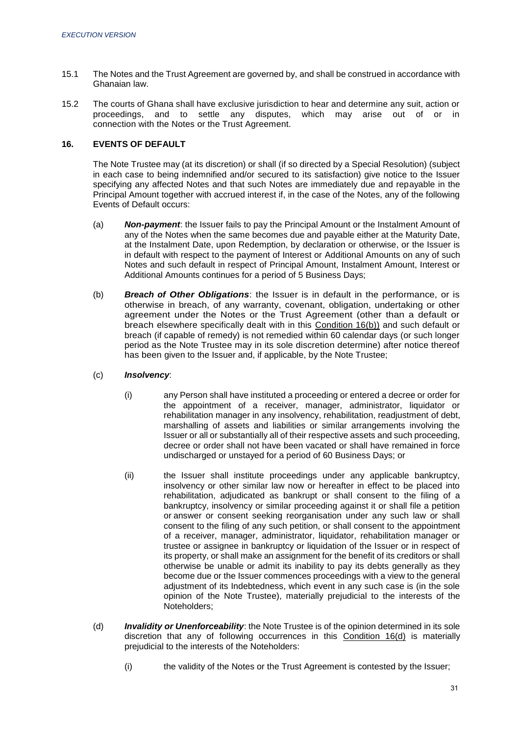- 15.1 The Notes and the Trust Agreement are governed by, and shall be construed in accordance with Ghanaian law.
- 15.2 The courts of Ghana shall have exclusive jurisdiction to hear and determine any suit, action or proceedings, and to settle any disputes, which may arise out of or in connection with the Notes or the Trust Agreement.

# **16. EVENTS OF DEFAULT**

The Note Trustee may (at its discretion) or shall (if so directed by a Special Resolution) (subject in each case to being indemnified and/or secured to its satisfaction) give notice to the Issuer specifying any affected Notes and that such Notes are immediately due and repayable in the Principal Amount together with accrued interest if, in the case of the Notes, any of the following Events of Default occurs:

- (a) *Non-payment*: the Issuer fails to pay the Principal Amount or the Instalment Amount of any of the Notes when the same becomes due and payable either at the Maturity Date, at the Instalment Date, upon Redemption, by declaration or otherwise, or the Issuer is in default with respect to the payment of Interest or Additional Amounts on any of such Notes and such default in respect of Principal Amount, Instalment Amount, Interest or Additional Amounts continues for a period of 5 Business Days;
- (b) *Breach of Other Obligations*: the Issuer is in default in the performance, or is otherwise in breach, of any warranty, covenant, obligation, undertaking or other agreement under the Notes or the Trust Agreement (other than a default or breach elsewhere specifically dealt with in this Condition 16(b)) and such default or breach (if capable of remedy) is not remedied within 60 calendar days (or such longer period as the Note Trustee may in its sole discretion determine) after notice thereof has been given to the Issuer and, if applicable, by the Note Trustee;
- (c) *Insolvency*:
	- (i) any Person shall have instituted a proceeding or entered a decree or order for the appointment of a receiver, manager, administrator, liquidator or rehabilitation manager in any insolvency, rehabilitation, readjustment of debt, marshalling of assets and liabilities or similar arrangements involving the Issuer or all or substantially all of their respective assets and such proceeding, decree or order shall not have been vacated or shall have remained in force undischarged or unstayed for a period of 60 Business Days; or
	- (ii) the Issuer shall institute proceedings under any applicable bankruptcy, insolvency or other similar law now or hereafter in effect to be placed into rehabilitation, adjudicated as bankrupt or shall consent to the filing of a bankruptcy, insolvency or similar proceeding against it or shall file a petition or answer or consent seeking reorganisation under any such law or shall consent to the filing of any such petition, or shall consent to the appointment of a receiver, manager, administrator, liquidator, rehabilitation manager or trustee or assignee in bankruptcy or liquidation of the Issuer or in respect of its property, or shall make an assignment for the benefit of its creditors or shall otherwise be unable or admit its inability to pay its debts generally as they become due or the Issuer commences proceedings with a view to the general adjustment of its Indebtedness, which event in any such case is (in the sole opinion of the Note Trustee), materially prejudicial to the interests of the Noteholders;
- (d) *Invalidity or Unenforceability*: the Note Trustee is of the opinion determined in its sole discretion that any of following occurrences in this Condition 16(d) is materially prejudicial to the interests of the Noteholders:
	- (i) the validity of the Notes or the Trust Agreement is contested by the Issuer;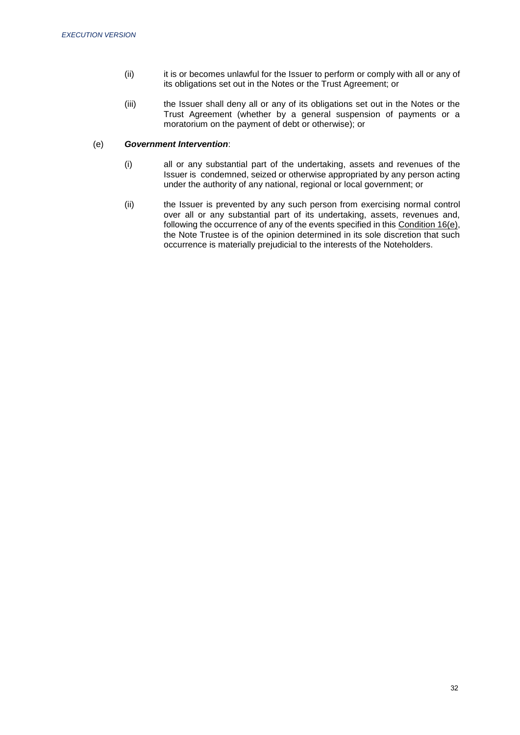- (ii) it is or becomes unlawful for the Issuer to perform or comply with all or any of its obligations set out in the Notes or the Trust Agreement; or
- (iii) the Issuer shall deny all or any of its obligations set out in the Notes or the Trust Agreement (whether by a general suspension of payments or a moratorium on the payment of debt or otherwise); or

# (e) *Government Intervention*:

- (i) all or any substantial part of the undertaking, assets and revenues of the Issuer is condemned, seized or otherwise appropriated by any person acting under the authority of any national, regional or local government; or
- (ii) the Issuer is prevented by any such person from exercising normal control over all or any substantial part of its undertaking, assets, revenues and, following the occurrence of any of the events specified in this Condition 16(e), the Note Trustee is of the opinion determined in its sole discretion that such occurrence is materially prejudicial to the interests of the Noteholders.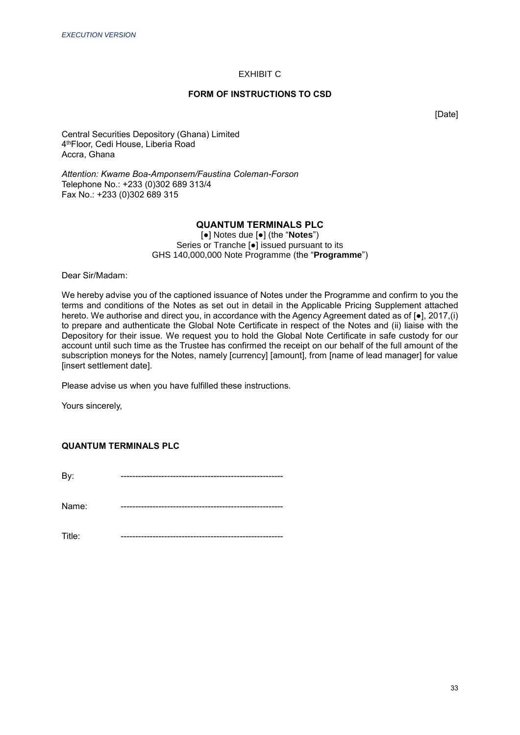# EXHIBIT C

## **FORM OF INSTRUCTIONS TO CSD**

[Date]

Central Securities Depository (Ghana) Limited 4 thFloor, Cedi House, Liberia Road Accra, Ghana

*Attention: Kwame Boa-Amponsem/Faustina Coleman-Forson* Telephone No.: +233 (0)302 689 313/4 Fax No.: +233 (0)302 689 315

# **QUANTUM TERMINALS PLC**

[●] Notes due [●] (the "**Notes**") Series or Tranche [●] issued pursuant to its GHS 140,000,000 Note Programme (the "**Programme**")

Dear Sir/Madam:

We hereby advise you of the captioned issuance of Notes under the Programme and confirm to you the terms and conditions of the Notes as set out in detail in the Applicable Pricing Supplement attached hereto. We authorise and direct you, in accordance with the Agency Agreement dated as of [●], 2017,(i) to prepare and authenticate the Global Note Certificate in respect of the Notes and (ii) liaise with the Depository for their issue. We request you to hold the Global Note Certificate in safe custody for our account until such time as the Trustee has confirmed the receipt on our behalf of the full amount of the subscription moneys for the Notes, namely [currency] [amount], from [name of lead manager] for value [insert settlement date].

Please advise us when you have fulfilled these instructions.

Yours sincerely,

# **QUANTUM TERMINALS PLC**

By: --------------------------------------------------------

Name: --------------------------------------------------------

Title: --------------------------------------------------------